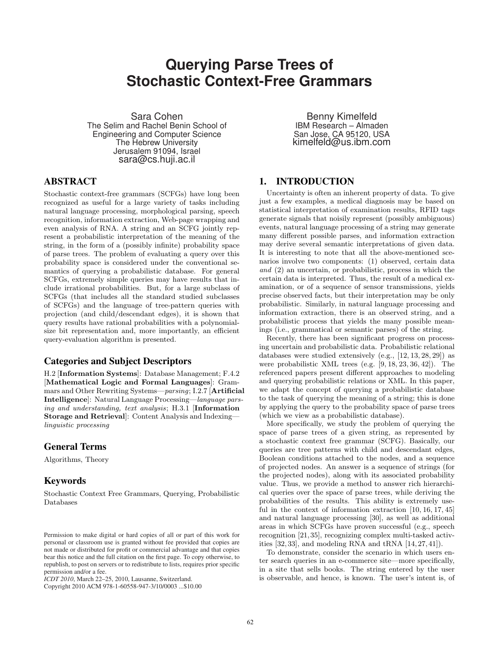# **Querying Parse Trees of Stochastic Context-Free Grammars**

Sara Cohen The Selim and Rachel Benin School of Engineering and Computer Science The Hebrew University Jerusalem 91094, Israel sara@cs.huji.ac.il

# ABSTRACT

Stochastic context-free grammars (SCFGs) have long been recognized as useful for a large variety of tasks including natural language processing, morphological parsing, speech recognition, information extraction, Web-page wrapping and even analysis of RNA. A string and an SCFG jointly represent a probabilistic interpretation of the meaning of the string, in the form of a (possibly infinite) probability space of parse trees. The problem of evaluating a query over this probability space is considered under the conventional semantics of querying a probabilistic database. For general SCFGs, extremely simple queries may have results that include irrational probabilities. But, for a large subclass of SCFGs (that includes all the standard studied subclasses of SCFGs) and the language of tree-pattern queries with projection (and child/descendant edges), it is shown that query results have rational probabilities with a polynomialsize bit representation and, more importantly, an efficient query-evaluation algorithm is presented.

# Categories and Subject Descriptors

H.2 [Information Systems]: Database Management; F.4.2 [Mathematical Logic and Formal Languages]: Grammars and Other Rewriting Systems—parsing; I.2.7 [Artificial Intelligence]: Natural Language Processing—language parsing and understanding, text analysis; H.3.1 [Information Storage and Retrieval]: Content Analysis and Indexing linguistic processing

## General Terms

Algorithms, Theory

# Keywords

Stochastic Context Free Grammars, Querying, Probabilistic Databases

Copyright 2010 ACM 978-1-60558-947-3/10/0003 ...\$10.00

Benny Kimelfeld IBM Research – Almaden San Jose, CA 95120, USA kimelfeld@us.ibm.com

# 1. INTRODUCTION

Uncertainty is often an inherent property of data. To give just a few examples, a medical diagnosis may be based on statistical interpretation of examination results, RFID tags generate signals that noisily represent (possibly ambiguous) events, natural language processing of a string may generate many different possible parses, and information extraction may derive several semantic interpretations of given data. It is interesting to note that all the above-mentioned scenarios involve two components: (1) observed, certain data and (2) an uncertain, or probabilistic, process in which the certain data is interpreted. Thus, the result of a medical examination, or of a sequence of sensor transmissions, yields precise observed facts, but their interpretation may be only probabilistic. Similarly, in natural language processing and information extraction, there is an observed string, and a probabilistic process that yields the many possible meanings (i.e., grammatical or semantic parses) of the string.

Recently, there has been significant progress on processing uncertain and probabilistic data. Probabilistic relational databases were studied extensively (e.g., [12, 13, 28, 29]) as were probabilistic XML trees (e.g. [9, 18, 23, 36, 42]). The referenced papers present different approaches to modeling and querying probabilistic relations or XML. In this paper, we adapt the concept of querying a probabilistic database to the task of querying the meaning of a string; this is done by applying the query to the probability space of parse trees (which we view as a probabilistic database).

More specifically, we study the problem of querying the space of parse trees of a given string, as represented by a stochastic context free grammar (SCFG). Basically, our queries are tree patterns with child and descendant edges, Boolean conditions attached to the nodes, and a sequence of projected nodes. An answer is a sequence of strings (for the projected nodes), along with its associated probability value. Thus, we provide a method to answer rich hierarchical queries over the space of parse trees, while deriving the probabilities of the results. This ability is extremely useful in the context of information extraction [10, 16, 17, 45] and natural language processing [30], as well as additional areas in which SCFGs have proven successful (e.g., speech recognition [21, 35], recognizing complex multi-tasked activities  $[32, 33]$ , and modeling RNA and tRNA  $[14, 27, 41]$ .

To demonstrate, consider the scenario in which users enter search queries in an e-commerce site—more specifically, in a site that sells books. The string entered by the user is observable, and hence, is known. The user's intent is, of

Permission to make digital or hard copies of all or part of this work for personal or classroom use is granted without fee provided that copies are not made or distributed for profit or commercial advantage and that copies bear this notice and the full citation on the first page. To copy otherwise, to republish, to post on servers or to redistribute to lists, requires prior specific permission and/or a fee.

*ICDT 2010*, March 22–25, 2010, Lausanne, Switzerland.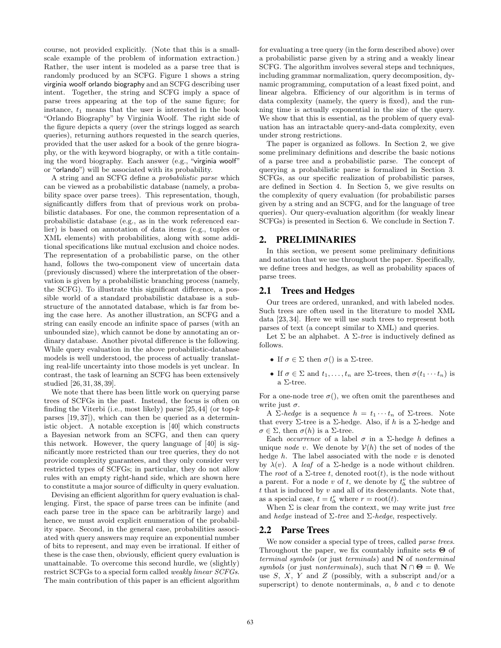course, not provided explicitly. (Note that this is a smallscale example of the problem of information extraction.) Rather, the user intent is modeled as a parse tree that is randomly produced by an SCFG. Figure 1 shows a string virginia woolf orlando biography and an SCFG describing user intent. Together, the string and SCFG imply a space of parse trees appearing at the top of the same figure; for instance,  $t_1$  means that the user is interested in the book "Orlando Biography" by Virginia Woolf. The right side of the figure depicts a query (over the strings logged as search queries), returning authors requested in the search queries, provided that the user asked for a book of the genre biography, or the with keyword biography, or with a title containing the word biography. Each answer (e.g., "virginia woolf" or "orlando") will be associated with its probability.

A string and an SCFG define a probabilistic parse which can be viewed as a probabilistic database (namely, a probability space over parse trees). This representation, though, significantly differs from that of previous work on probabilistic databases. For one, the common representation of a probabilistic database (e.g., as in the work referenced earlier) is based on annotation of data items (e.g., tuples or XML elements) with probabilities, along with some additional specifications like mutual exclusion and choice nodes. The representation of a probabilistic parse, on the other hand, follows the two-component view of uncertain data (previously discussed) where the interpretation of the observation is given by a probabilistic branching process (namely, the SCFG). To illustrate this significant difference, a possible world of a standard probabilistic database is a substructure of the annotated database, which is far from being the case here. As another illustration, an SCFG and a string can easily encode an infinite space of parses (with an unbounded size), which cannot be done by annotating an ordinary database. Another pivotal difference is the following. While query evaluation in the above probabilistic-database models is well understood, the process of actually translating real-life uncertainty into those models is yet unclear. In contrast, the task of learning an SCFG has been extensively studied [26, 31, 38, 39].

We note that there has been little work on querying parse trees of SCFGs in the past. Instead, the focus is often on finding the Viterbi (i.e., most likely) parse  $[25, 44]$  (or top- $k$ parses [19, 37]), which can then be queried as a deterministic object. A notable exception is [40] which constructs a Bayesian network from an SCFG, and then can query this network. However, the query language of [40] is significantly more restricted than our tree queries, they do not provide complexity guarantees, and they only consider very restricted types of SCFGs; in particular, they do not allow rules with an empty right-hand side, which are shown here to constitute a major source of difficulty in query evaluation.

Devising an efficient algorithm for query evaluation is challenging. First, the space of parse trees can be infinite (and each parse tree in the space can be arbitrarily large) and hence, we must avoid explicit enumeration of the probability space. Second, in the general case, probabilities associated with query answers may require an exponential number of bits to represent, and may even be irrational. If either of these is the case then, obviously, efficient query evaluation is unattainable. To overcome this second hurdle, we (slightly) restrict SCFGs to a special form called weakly linear SCFGs. The main contribution of this paper is an efficient algorithm for evaluating a tree query (in the form described above) over a probabilistic parse given by a string and a weakly linear SCFG. The algorithm involves several steps and techniques, including grammar normalization, query decomposition, dynamic programming, computation of a least fixed point, and linear algebra. Efficiency of our algorithm is in terms of data complexity (namely, the query is fixed), and the running time is actually exponential in the size of the query. We show that this is essential, as the problem of query evaluation has an intractable query-and-data complexity, even under strong restrictions.

The paper is organized as follows. In Section 2, we give some preliminary definitions and describe the basic notions of a parse tree and a probabilistic parse. The concept of querying a probabilistic parse is formalized in Section 3. SCFGs, as our specific realization of probabilistic parses, are defined in Section 4. In Section 5, we give results on the complexity of query evaluation (for probabilistic parses given by a string and an SCFG, and for the language of tree queries). Our query-evaluation algorithm (for weakly linear SCFGs) is presented in Section 6. We conclude in Section 7.

## 2. PRELIMINARIES

In this section, we present some preliminary definitions and notation that we use throughout the paper. Specifically, we define trees and hedges, as well as probability spaces of parse trees.

## 2.1 Trees and Hedges

Our trees are ordered, unranked, and with labeled nodes. Such trees are often used in the literature to model XML data [23, 34]. Here we will use such trees to represent both parses of text (a concept similar to XML) and queries.

Let  $\Sigma$  be an alphabet. A  $\Sigma$ -tree is inductively defined as follows.

- If  $\sigma \in \Sigma$  then  $\sigma()$  is a  $\Sigma$ -tree.
- If  $\sigma \in \Sigma$  and  $t_1, \ldots, t_n$  are  $\Sigma$ -trees, then  $\sigma(t_1 \cdots t_n)$  is a Σ-tree.

For a one-node tree  $\sigma$ (), we often omit the parentheses and write just  $\sigma$ .

A Σ-hedge is a sequence  $h = t_1 \cdots t_n$  of Σ-trees. Note that every Σ-tree is a Σ-hedge. Also, if h is a Σ-hedge and  $\sigma \in \Sigma$ , then  $\sigma(h)$  is a  $\Sigma$ -tree.

Each *occurrence* of a label  $\sigma$  in a Σ-hedge h defines a unique *node* v. We denote by  $V(h)$  the set of nodes of the hedge  $h$ . The label associated with the node  $v$  is denoted by  $\lambda(v)$ . A *leaf* of a Σ-hedge is a node without children. The root of a  $\Sigma$ -tree t, denoted root(t), is the node without a parent. For a node v of t, we denote by  $t_{\Delta}^v$  the subtree of  $t$  that is induced by  $v$  and all of its descendants. Note that, as a special case,  $t = t_{\Delta}^r$  where  $r = \text{root}(t)$ .

When  $\Sigma$  is clear from the context, we may write just tree and hedge instead of  $\Sigma$ -tree and  $\Sigma$ -hedge, respectively.

## 2.2 Parse Trees

We now consider a special type of trees, called *parse trees*. Throughout the paper, we fix countably infinite sets  $\Theta$  of terminal symbols (or just terminals) and  $N$  of nonterminal symbols (or just nonterminals), such that  $\mathbf{N} \cap \mathbf{\Theta} = \emptyset$ . We use  $S, X, Y$  and  $Z$  (possibly, with a subscript and/or a superscript) to denote nonterminals,  $a, b$  and  $c$  to denote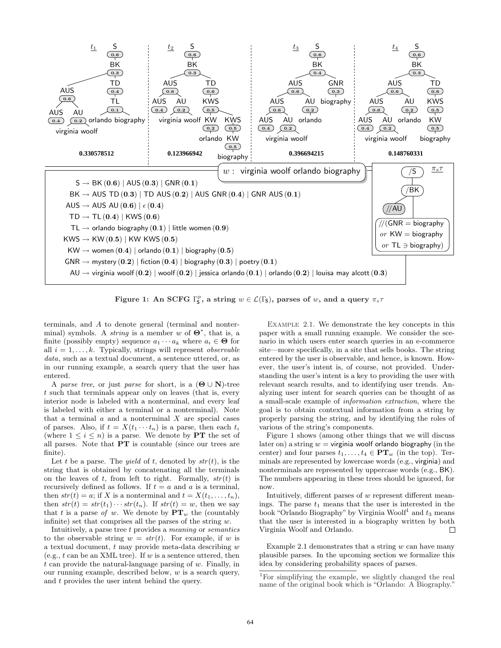

Figure 1: An SCFG  $\Gamma_{\mathsf{S}}^p$ , a string  $w \in \mathcal{L}(\Gamma_{\mathsf{S}})$ , parses of w, and a query  $\pi_s \tau$ 

terminals, and A to denote general (terminal and nonterminal) symbols. A *string* is a member w of  $\Theta^*$ , that is, a finite (possibly empty) sequence  $a_1 \cdots a_k$  where  $a_i \in \Theta$  for all  $i = 1, \ldots, k$ . Typically, strings will represent *observable* data, such as a textual document, a sentence uttered, or, as in our running example, a search query that the user has entered.

A parse tree, or just parse for short, is a  $(\mathbf{\Theta} \cup \mathbf{N})$ -tree t such that terminals appear only on leaves (that is, every interior node is labeled with a nonterminal, and every leaf is labeled with either a terminal or a nonterminal). Note that a terminal  $a$  and a nonterminal  $X$  are special cases of parses. Also, if  $t = X(t_1 \cdots t_n)$  is a parse, then each  $t_i$ (where  $1 \leq i \leq n$ ) is a parse. We denote by **PT** the set of all parses. Note that PT is countable (since our trees are finite).

Let t be a parse. The *yield* of t, denoted by  $str(t)$ , is the string that is obtained by concatenating all the terminals on the leaves of t, from left to right. Formally,  $str(t)$  is recursively defined as follows. If  $t = a$  and a is a terminal, then  $str(t) = a$ ; if X is a nonterminal and  $t = X(t_1, \ldots, t_n)$ , then  $str(t) = str(t_1) \cdots str(t_n)$ . If  $str(t) = w$ , then we say that t is a parse of w. We denote by  $PT_w$  the (countably infinite) set that comprises all the parses of the string  $w$ .

Intuitively, a parse tree t provides a meaning or semantics to the observable string  $w = str(t)$ . For example, if w is a textual document,  $t$  may provide meta-data describing  $w$ (e.g., t can be an XML tree). If w is a sentence uttered, then  $t$  can provide the natural-language parsing of  $w$ . Finally, in our running example, described below,  $w$  is a search query, and t provides the user intent behind the query.

Example 2.1. We demonstrate the key concepts in this paper with a small running example. We consider the scenario in which users enter search queries in an e-commerce site—more specifically, in a site that sells books. The string entered by the user is observable, and hence, is known. However, the user's intent is, of course, not provided. Understanding the user's intent is a key to providing the user with relevant search results, and to identifying user trends. Analyzing user intent for search queries can be thought of as a small-scale example of information extraction, where the goal is to obtain contextual information from a string by properly parsing the string, and by identifying the roles of various of the string's components.

Figure 1 shows (among other things that we will discuss later on) a string  $w = \text{virgini}$  woolf orlando biography (in the center) and four parses  $t_1, \ldots, t_4 \in PT_w$  (in the top). Terminals are represented by lowercase words (e.g., virginia) and nonterminals are represented by uppercase words (e.g., BK). The numbers appearing in these trees should be ignored, for now.

Intuitively, different parses of w represent different meanings. The parse  $t_1$  means that the user is interested in the book "Orlando Biography" by Virginia Woolf<sup>1</sup> and  $t_3$  means that the user is interested in a biography written by both Virginia Woolf and Orlando. П

Example 2.1 demonstrates that a string  $w$  can have many plausible parses. In the upcoming section we formalize this idea by considering probability spaces of parses.

<sup>1</sup>For simplifying the example, we slightly changed the real name of the original book which is "Orlando: A Biography."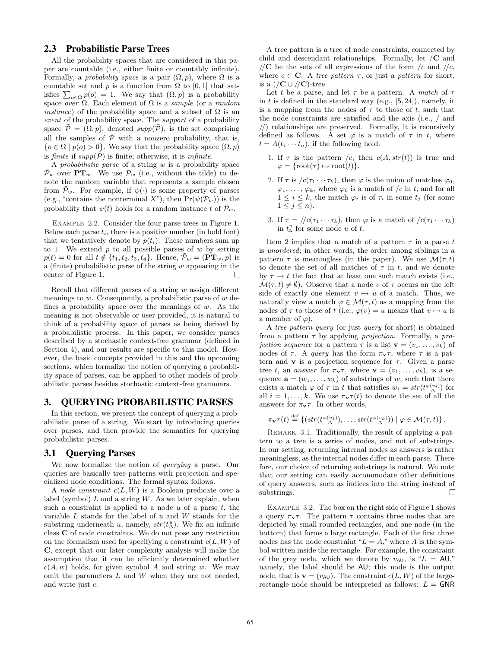# 2.3 Probabilistic Parse Trees

All the probability spaces that are considered in this paper are countable (i.e., either finite or countably infinite). Formally, a *probability space* is a pair  $(\Omega, p)$ , where  $\Omega$  is a countable set and p is a function from  $\Omega$  to [0, 1] that satcountable set and p is a function from  $\Omega$  to [0, 1] that satisfies  $\sum_{o \in \Omega} p(o) = 1$ . We say that  $(\Omega, p)$  is a probability space over  $\Omega$ . Each element of  $\Omega$  is a sample (or a random *instance*) of the probability space and a subset of  $\Omega$  is an event of the probability space. The support of a probability space  $\tilde{\mathcal{P}} = (\Omega, p)$ , denoted supp $(\tilde{\mathcal{P}})$ , is the set comprising all the samples of  $\overline{P}$  with a nonzero probability, that is,  $\{o \in \Omega \mid p(o) > 0\}$ . We say that the probability space  $(\Omega, p)$ is finite if  $supp(\tilde{P})$  is finite; otherwise, it is *infinite*.

A probabilistic parse of a string w is a probability space  $\tilde{\mathcal{P}}_w$  over  $\mathbf{PT}_w$ . We use  $\mathcal{P}_w$  (i.e., without the tilde) to denote the random variable that represents a sample chosen from  $\tilde{\mathcal{P}}_w$ . For example, if  $\psi(\cdot)$  is some property of parses (e.g., "contains the nonterminal X"), then  $Pr(\psi(\mathcal{P}_w))$  is the probability that  $\psi(t)$  holds for a random instance t of  $\mathcal{P}_w$ .

Example 2.2. Consider the four parse trees in Figure 1. Below each parse  $t_i$ , there is a positive number (in bold font) that we tentatively denote by  $p(t_i)$ . These numbers sum up to 1. We extend  $p$  to all possible parses of  $w$  by setting  $p(t) = 0$  for all  $t \notin \{t_1, t_2, t_3, t_4\}$ . Hence,  $\mathcal{P}_w = (\mathbf{PT}_w, p)$  is a (finite) probabilistic parse of the string  $w$  appearing in the center of Figure 1. П

Recall that different parses of a string  $w$  assign different meanings to  $w$ . Consequently, a probabilistic parse of  $w$  defines a probability space over the meanings of  $w$ . As the meaning is not observable or user provided, it is natural to think of a probability space of parses as being derived by a probabilistic process. In this paper, we consider parses described by a stochastic context-free grammar (defined in Section 4), and our results are specific to this model. However, the basic concepts provided in this and the upcoming sections, which formalize the notion of querying a probability space of parses, can be applied to other models of probabilistic parses besides stochastic context-free grammars.

## 3. QUERYING PROBABILISTIC PARSES

In this section, we present the concept of querying a probabilistic parse of a string. We start by introducing queries over parses, and then provide the semantics for querying probabilistic parses.

# 3.1 Querying Parses

We now formalize the notion of querying a parse. Our queries are basically tree patterns with projection and specialized node conditions. The formal syntax follows.

A node constraint  $c(L, W)$  is a Boolean predicate over a label (symbol)  $L$  and a string  $W$ . As we later explain, when such a constraint is applied to a node  $u$  of a parse  $t$ , the variable  $L$  stands for the label of  $u$  and  $W$  stands for the substring underneath u, namely,  $str(t^u_\Delta)$ . We fix an infinite class C of node constraints. We do not pose any restriction on the formalism used for specifying a constraint  $c(L, W)$  of C, except that our later complexity analysis will make the assumption that it can be efficiently determined whether  $c(A, w)$  holds, for given symbol A and string w. We may omit the parameters  $L$  and  $W$  when they are not needed, and write just c.

A tree pattern is a tree of node constraints, connected by child and descendant relationships. Formally, let  $\mathcal{C}$  and //C be the sets of all expressions of the form /c and //c, where  $c \in \mathbf{C}$ . A tree pattern  $\tau$ , or just a pattern for short, is a  $//{\bf C} \cup //{\bf C}$ -tree.

Let t be a parse, and let  $\tau$  be a pattern. A match of  $\tau$ in t is defined in the standard way (e.g.,  $[5, 24]$ ), namely, it is a mapping from the nodes of  $\tau$  to those of t, such that the node constraints are satisfied and the axis (i.e., / and //) relationships are preserved. Formally, it is recursively defined as follows. A set  $\varphi$  is a match of  $\tau$  in t, where  $t = A(t_1 \cdots t_n)$ , if the following hold.

- 1. If  $\tau$  is the pattern /c, then  $c(A, str(t))$  is true and  $\varphi = {\text{root}(\tau) \mapsto \text{root}(t)}.$
- 2. If  $\tau$  is  $/c(\tau_1 \cdots \tau_k)$ , then  $\varphi$  is the union of matches  $\varphi_0$ ,  $\varphi_1, \ldots, \varphi_k$ , where  $\varphi_0$  is a match of /c in t, and for all  $1 \leq i \leq k$ , the match  $\varphi_i$  is of  $\tau_i$  in some  $t_j$  (for some  $1 \leq j \leq n$ ).
- 3. If  $\tau = \sqrt{c(\tau_1 \cdots \tau_k)}$ , then  $\varphi$  is a match of  $\sqrt{c(\tau_1 \cdots \tau_k)}$ in  $t_{\Delta}^u$  for some node u of t.

Item 2 implies that a match of a pattern  $\tau$  in a parse t is unordered; in other words, the order among siblings in a pattern  $\tau$  is meaningless (in this paper). We use  $\mathcal{M}(\tau, t)$ to denote the set of all matches of  $\tau$  in t, and we denote by  $\tau \mapsto t$  the fact that at least one such match exists (i.e.,  $\mathcal{M}(\tau, t) \neq \emptyset$ . Observe that a node v of  $\tau$  occurs on the left side of exactly one element  $v \mapsto u$  of a match. Thus, we naturally view a match  $\varphi \in \mathcal{M}(\tau, t)$  as a mapping from the nodes of  $\tau$  to those of t (i.e.,  $\varphi(v) = u$  means that  $v \mapsto u$  is a member of  $\varphi$ ).

A tree-pattern query (or just query for short) is obtained from a pattern  $\tau$  by applying *projection*. Formally, a *projection sequence* for a pattern  $\tau$  is a list  $\mathbf{v} = (v_1, \ldots, v_k)$  of nodes of  $\tau$ . A *query* has the form  $\pi_{\mathbf{v}}\tau$ , where  $\tau$  is a pattern and **v** is a projection sequence for  $\tau$ . Given a parse tree t, an answer for  $\pi_{\mathbf{v}} \tau$ , where  $\mathbf{v} = (v_1, \ldots, v_k)$ , is a sequence  $\mathbf{a} = (w_1, \ldots, w_k)$  of substrings of w, such that there exists a match  $\varphi$  of  $\tau$  in t that satisfies  $w_i = str(t^{\varphi(v_i)})$  for all  $i = 1, ..., k$ . We use  $\pi_{\mathbf{v}} \tau(t)$  to denote the set of all the answers for  $\pi_{\mathbf{v}}\tau$ . In other words,

$$
\pi_{\mathbf{v}}\tau(t) \stackrel{\text{def}}{=} \left\{ \left( str(t^{\varphi(v_1)}), \ldots, str(t^{\varphi(v_k)} ) \right) \mid \varphi \in \mathcal{M}(\tau, t) \right\}.
$$

Remark 3.1. Traditionally, the result of applying a pattern to a tree is a series of nodes, and not of substrings. In our setting, returning internal nodes as answers is rather meaningless, as the internal nodes differ in each parse. Therefore, our choice of returning substrings is natural. We note that our setting can easily accommodate other definitions of query answers, such as indices into the string instead of substrings. П

EXAMPLE 3.2. The box on the right side of Figure 1 shows a query  $\pi_{\mathbf{v}}\tau$ . The pattern  $\tau$  contains three nodes that are depicted by small rounded rectangles, and one node (in the bottom) that forms a large rectangle. Each of the first three nodes has the node constraint " $L = A$ ," where A is the symbol written inside the rectangle. For example, the constraint of the grey node, which we denote by  $v_{AU}$ , is " $L = AU$ ," namely, the label should be AU; this node is the output node, that is  $\mathbf{v} = (v_{\text{AU}})$ . The constraint  $c(L, W)$  of the largerectangle node should be interpreted as follows:  $L = GNR$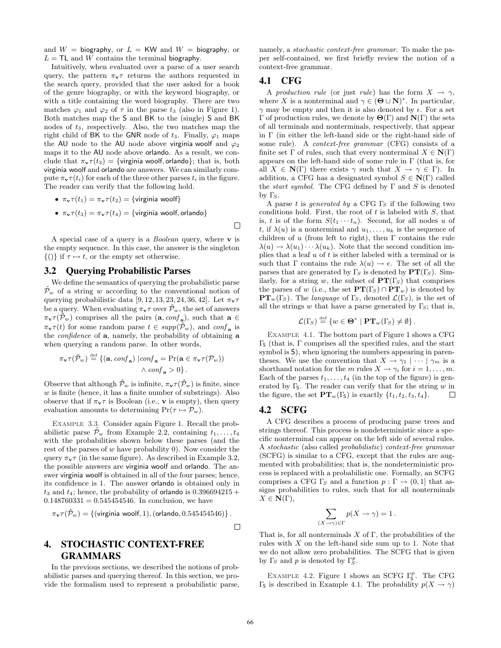and  $W =$  biography, or  $L = KW$  and  $W =$  biography, or  $L = \mathsf{TL}$  and W contains the terminal biography.

Intuitively, when evaluated over a parse of a user search query, the pattern  $\pi_{\mathbf{v}}\tau$  returns the authors requested in the search query, provided that the user asked for a book of the genre biography, or with the keyword biography, or with a title containing the word biography. There are two matches  $\varphi_1$  and  $\varphi_2$  of  $\tau$  in the parse  $t_3$  (also in Figure 1). Both matches map the S and BK to the (single) S and BK nodes of  $t_3$ , respectively. Also, the two matches map the right child of BK to the GNR node of  $t_3$ . Finally,  $\varphi_1$  maps the AU node to the AU node above virginia woolf and  $\varphi_2$ maps it to the AU node above orlando. As a result, we conclude that  $\pi_v \tau(t_3) = \{$ virginia woolf, orlando}; that is, both virginia woolf and orlando are answers. We can similarly compute  $\pi_{\mathbf{v}} \tau(t_i)$  for each of the three other parses  $t_i$  in the figure. The reader can verify that the following hold.

- $\pi_v \tau(t_1) = \pi_v \tau(t_2) = \{$ virginia woolf $\}$
- $\pi_{\mathbf{v}} \tau(t_3) = \pi_{\mathbf{v}} \tau(t_4) = \{$  virginia woolf, orlando }

A special case of a query is a *Boolean* query, where  $\bf{v}$  is the empty sequence. In this case, the answer is the singleton  $\{()\}\$  if  $\tau \mapsto t$ , or the empty set otherwise.

#### 3.2 Querying Probabilistic Parses

We define the semantics of querying the probabilistic parse  $\mathcal{P}_{w}$  of a string w according to the conventional notion of querying probabilistic data [9, 12, 13, 23, 24, 36, 42]. Let  $\pi_{\mathbf{v}}\tau$ be a query. When evaluating  $\pi_{\mathbf{v}}\tau$  over  $\tilde{\mathcal{P}}_w$ , the set of answers  $\pi_{\mathbf{v}} \tau(\tilde{\mathcal{P}}_w)$  comprises all the pairs  $(\mathbf{a}, \text{conf}_{\mathbf{a}})$ , such that  $\mathbf{a} \in$  $\pi_{\mathbf{v}}\tau(t)$  for some random parse  $t \in \text{supp}(\tilde{\mathcal{P}}_w)$ , and  $\text{conf}_{\mathbf{a}}$  is the *confidence* of **a**, namely, the probability of obtaining **a** when querying a random parse. In other words,

$$
\pi_{\mathbf{v}} \tau(\tilde{\mathcal{P}}_w) \stackrel{\text{def}}{=} \{ (\mathbf{a}, \text{conf}_{\mathbf{a}}) \mid \text{conf}_{\mathbf{a}} = \Pr(\mathbf{a} \in \pi_{\mathbf{v}} \tau(\mathcal{P}_w)) \land \text{conf}_{\mathbf{a}} > 0 \}.
$$

Observe that although  $\tilde{\mathcal{P}}_w$  is infinite,  $\pi_{\mathbf{v}} \tau(\tilde{\mathcal{P}}_w)$  is finite, since  $w$  is finite (hence, it has a finite number of substrings). Also observe that if  $\pi_{\mathbf{v}}\tau$  is Boolean (i.e., **v** is empty), then query evaluation amounts to determining  $Pr(\tau \mapsto P_w)$ .

Example 3.3. Consider again Figure 1. Recall the probabilistic parse  $\tilde{\mathcal{P}}_w$  from Example 2.2, containing  $t_1, \ldots, t_4$ with the probabilities shown below these parses (and the rest of the parses of  $w$  have probability 0). Now consider the query  $\pi_{\mathbf{v}}\tau$  (in the same figure). As described in Example 3.2, the possible answers are virginia woolf and orlando. The answer virginia woolf is obtained in all of the four parses; hence, its confidence is 1. The answer orlando is obtained only in  $t_3$  and  $t_4$ ; hence, the probability of **orlando** is  $0.396694215 +$  $0.148760331 = 0.545454546$ . In conclusion, we have

$$
\pi_{\mathbf{v}}\tau(\tilde{\mathcal{P}}_w) = \{(\text{virginia woodf}, 1), (\text{orlando}, 0.545454546)\}.
$$

 $\Box$ 

 $\Box$ 

# 4. STOCHASTIC CONTEXT-FREE GRAMMARS

In the previous sections, we described the notions of probabilistic parses and querying thereof. In this section, we provide the formalism used to represent a probabilistic parse, namely, a *stochastic context-free grammar*. To make the paper self-contained, we first briefly review the notion of a context-free grammar.

# 4.1 CFG

A production rule (or just rule) has the form  $X \to \gamma$ , where X is a nonterminal and  $\gamma \in (\mathbf{\Theta} \cup \mathbf{N})^*$ . In particular,  $\gamma$  may be empty and then it is also denoted by  $\epsilon$ . For a set  $Γ$  of production rules, we denote by  $Θ(Γ)$  and  $N(Γ)$  the sets of all terminals and nonterminals, respectively, that appear in Γ (in either the left-hand side or the right-hand side of some rule). A context-free grammar (CFG) consists of a finite set  $\Gamma$  of rules, such that every nonterminal  $X \in \mathbb{N}(\Gamma)$ appears on the left-hand side of some rule in Γ (that is, for all  $X \in \mathbb{N}(\Gamma)$  there exists  $\gamma$  such that  $X \to \gamma \in \Gamma$ ). In addition, a CFG has a designated symbol  $S \in N(\Gamma)$  called the *start symbol*. The CFG defined by  $\Gamma$  and  $S$  is denoted by  $\Gamma_S$ .

A parse t is generated by a CFG  $\Gamma$ <sub>S</sub> if the following two conditions hold. First, the root of  $t$  is labeled with  $S$ , that is, t is of the form  $S(t_1 \cdots t_n)$ . Second, for all nodes u of t, if  $\lambda(u)$  is a nonterminal and  $u_1, \ldots, u_k$  is the sequence of children of u (from left to right), then  $\Gamma$  contains the rule  $\lambda(u) \to \lambda(u_1) \cdots \lambda(u_k)$ . Note that the second condition implies that a leaf  $u$  of  $t$  is either labeled with a terminal or is such that Γ contains the rule  $\lambda(u) \to \epsilon$ . The set of all the parses that are generated by  $\Gamma_S$  is denoted by  $\mathbf{PT}(\Gamma_S)$ . Similarly, for a string w, the subset of  $PT(\Gamma_{S})$  that comprises the parses of w (i.e., the set  $\mathbf{PT}(\Gamma_{S}) \cap \mathbf{PT}_{w}$ ) is denoted by  $PT_w(\Gamma_S)$ . The *language* of  $\Gamma_S$ , denoted  $\mathcal{L}(\Gamma_S)$ , is the set of all the strings w that have a parse generated by  $\Gamma_{S}$ ; that is,

$$
\mathcal{L}(\Gamma_S) \stackrel{\text{def}}{=} \{ w \in \Theta^* \mid \mathbf{PT}_w(\Gamma_S) \neq \emptyset \}.
$$

Example 4.1. The bottom part of Figure 1 shows a CFG  $Γ<sub>S</sub>$  (that is, Γ comprises all the specified rules, and the start symbol is S), when ignoring the numbers appearing in parentheses. We use the convention that  $X \to \gamma_1 \mid \cdots \mid \gamma_m$  is a shorthand notation for the m rules  $X \to \gamma_i$  for  $i = 1, \ldots, m$ . Each of the parses  $t_1, \ldots, t_4$  (in the top of the figure) is generated by  $\Gamma$ <sub>5</sub>. The reader can verify that for the string w in the figure, the set  $PT_w(\Gamma_s)$  is exactly  $\{t_1, t_2, t_3, t_4\}.$ П

# 4.2 SCFG

A CFG describes a process of producing parse trees and strings thereof. This process is nondeterministic since a specific nonterminal can appear on the left side of several rules. A stochastic (also called probabilistic) context-free grammar (SCFG) is similar to a CFG, except that the rules are augmented with probabilities; that is, the nondeterministic process is replaced with a probabilistic one. Formally, an SCFG comprises a CFG  $\Gamma_S$  and a function  $p : \Gamma \to (0, 1]$  that assigns probabilities to rules, such that for all nonterminals  $X \in \mathbf{N}(\Gamma)$ ,

$$
\sum_{(X \to \gamma) \in \Gamma} p(X \to \gamma) = 1.
$$

That is, for all nonterminals X of  $\Gamma$ , the probabilities of the rules with  $X$  on the left-hand side sum up to 1. Note that we do not allow zero probabilities. The SCFG that is given by  $\Gamma_S$  and p is denoted by  $\Gamma_S^p$ .

EXAMPLE 4.2. Figure 1 shows an SCFG  $\Gamma_5^p$ . The CFG Γ<sub>S</sub> is described in Example 4.1. The probability  $p(X \to \gamma)$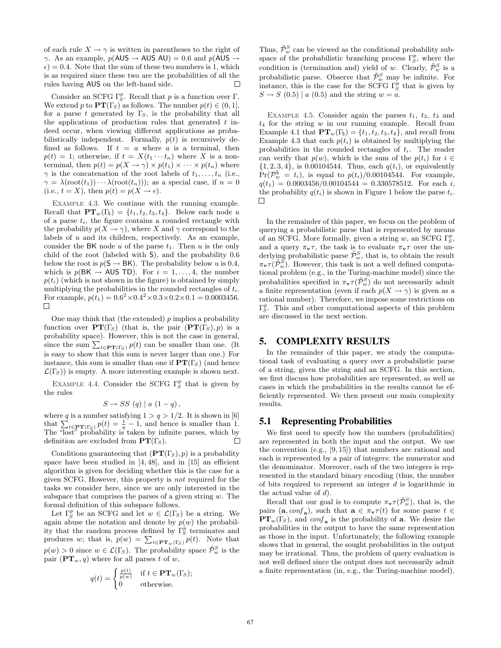of each rule  $X \to \gamma$  is written in parentheses to the right of  $\gamma$ . As an example,  $p(AUS \rightarrow AUS AU) = 0.6$  and  $p(AUS \rightarrow$  $\epsilon$ ) = 0.4. Note that the sum of these two numbers is 1, which is as required since these two are the probabilities of all the rules having AUS on the left-hand side.  $\Box$ 

Consider an SCFG  $\Gamma_S^p$ . Recall that p is a function over  $\Gamma$ . We extend p to  $PT(\Gamma_s)$  as follows. The number  $p(t) \in (0, 1]$ , for a parse t generated by  $\Gamma_{S}$ , is the probability that all the applications of production rules that generated  $t$  indeed occur, when viewing different applications as probabilistically independent. Formally,  $p(t)$  is recursively defined as follows. If  $t = a$  where a is a terminal, then  $p(t) = 1$ ; otherwise, if  $t = X(t_1 \cdots t_n)$  where X is a nonterminal, then  $p(t) = p(X \to \gamma) \times p(t_1) \times \cdots \times p(t_n)$  where  $\gamma$  is the concatenation of the root labels of  $t_1, \ldots, t_n$  (i.e.,  $\gamma = \lambda(\text{root}(t_1)) \cdots \lambda(\text{root}(t_n))$ ; as a special case, if  $n = 0$ (i.e.,  $t = X$ ), then  $p(t) = p(X \rightarrow \epsilon)$ .

EXAMPLE 4.3. We continue with the running example. Recall that  $PT_w(\Gamma_5) = \{t_1, t_2, t_3, t_4\}$ . Below each node u of a parse  $t_i$ , the figure contains a rounded rectangle with the probability  $p(X \to \gamma)$ , where X and  $\gamma$  correspond to the labels of  $u$  and its children, respectively. As an example, consider the BK node u of the parse  $t_1$ . Then u is the only child of the root (labeled with S), and the probability 0.6 below the root is  $p(\mathsf{S} \rightarrow \mathsf{BK})$ . The probability below u is 0.4, which is  $p(BK \rightarrow AUS TD)$ . For  $i = 1, ..., 4$ , the number  $p(t_i)$  (which is not shown in the figure) is obtained by simply multiplying the probabilities in the rounded rectangles of  $t_i$ . For example,  $p(t_1) = 0.6^2 \times 0.4^2 \times 0.3 \times 0.2 \times 0.1 = 0.0003456$ .  $\Box$ 

One may think that (the extended)  $p$  implies a probability function over  $PT(\Gamma_S)$  (that is, the pair  $(PT(\Gamma_S), p)$  is a probability space). However, this is not the case in general, probability space). However, this is not the case in general,<br>since the sum  $\sum_{t \in \mathbf{PT}(\Gamma_S)} p(t)$  can be smaller than one. (It is easy to show that this sum is never larger than one.) For instance, this sum is smaller than one if  $PT(\Gamma<sub>S</sub>)$  (and hence  $\mathcal{L}(\Gamma_{S})$  is empty. A more interesting example is shown next.

EXAMPLE 4.4. Consider the SCFG  $\Gamma_S^p$  that is given by the rules

$$
S \to SS (q) | a (1-q),
$$

where q is a number satisfying  $1 > q > 1/2$ . It is shown in [6] where q is a number satisfying  $1 > q > 1/2$ . It is shown in [0] that  $\sum_{t \in \mathbf{PT}(\Gamma_{\mathcal{S}})} p(t) = \frac{1}{q} - 1$ , and hence is smaller than 1. The "lost" probability is taken by infinite parses, which by definition are excluded from  $PT(\Gamma<sub>S</sub>)$ .  $\mathbf{L}$ 

Conditions guaranteeing that  $(PT(\Gamma<sub>S</sub>), p)$  is a probability space have been studied in [4, 48], and in [15] an efficient algorithm is given for deciding whether this is the case for a given SCFG. However, this property is not required for the tasks we consider here, since we are only interested in the subspace that comprises the parses of a given string  $w$ . The formal definition of this subspace follows.

Let  $\Gamma_S^p$  be an SCFG and let  $w \in \mathcal{L}(\Gamma_S)$  be a string. We again abuse the notation and denote by  $p(w)$  the probability that the random process defined by  $\Gamma_S^p$  terminates and produces w; that is,  $p(w) = \sum_{t \in \mathbf{PT}_w(\Gamma_S)} p(t)$ . Note that  $p(w) > 0$  since  $w \in \mathcal{L}(\Gamma_S)$ . The probability space  $\tilde{\mathcal{P}}_w^S$  is the pair  $(PT_w, q)$  where for all parses t of w,

$$
q(t) = \begin{cases} \frac{p(t)}{p(w)} & \text{if } t \in \mathbf{PT}_w(\Gamma_S); \\ 0 & \text{otherwise.} \end{cases}
$$

Thus,  $\tilde{\mathcal{P}}_w^S$  can be viewed as the conditional probability subspace of the probabilistic branching process  $\Gamma_S^p$ , where the condition is (termination and) yield of w. Clearly,  $\tilde{\mathcal{P}}_w^S$  is a probabilistic parse. Observe that  $\tilde{\mathcal{P}}_w^S$  may be infinite. For instance, this is the case for the SCFG  $\Gamma_S^p$  that is given by  $S \rightarrow S$  (0.5) | a (0.5) and the string  $w = a$ .

EXAMPLE 4.5. Consider again the parses  $t_1$ ,  $t_2$ ,  $t_3$  and  $t_4$  for the string w in our running example. Recall from Example 4.1 that  $\mathbf{PT}_w(\Gamma_{\mathsf{S}}) = \{t_1, t_2, t_3, t_4\}$ , and recall from Example 4.3 that each  $p(t_i)$  is obtained by multiplying the probabilities in the rounded rectangles of  $t_i$ . The reader can verify that  $p(w)$ , which is the sum of the  $p(t_i)$  for  $i \in$  $\{1, 2, 3, 4\}$ , is 0.00104544. Thus, each  $q(t_i)$ , or equivalently  $Pr(\mathcal{P}_w^{\mathsf{S}} = t_i)$ , is equal to  $p(t_i)/0.00104544$ . For example,  $q(t_1) = 0.0003456/0.00104544 = 0.330578512$ . For each i, the probability  $q(t_i)$  is shown in Figure 1 below the parse  $t_i$ .  $\Box$ 

In the remainder of this paper, we focus on the problem of querying a probabilistic parse that is represented by means of an SCFG. More formally, given a string w, an SCFG  $\Gamma_S^p$ , and a query  $\pi_{\mathbf{v}}\tau$ , the task is to evaluate  $\pi_{\mathbf{v}}\tau$  over the underlying probabilistic parse  $\tilde{\mathcal{P}}_{w}^S$ , that is, to obtain the result  $\pi_{\mathbf{v}} \tau(\tilde{\mathcal{P}}_w^{\tilde{S}})$ . However, this task is not a well defined computational problem (e.g., in the Turing-machine model) since the probabilities specified in  $\pi_{\mathbf{v}} \tau(\tilde{\mathcal{P}}_w^S)$  do not necessarily admit a finite representation (even if each  $p(X \to \gamma)$  is given as a rational number). Therefore, we impose some restrictions on  $\Gamma_S^p$ . This and other computational aspects of this problem are discussed in the next section.

#### 5. COMPLEXITY RESULTS

In the remainder of this paper, we study the computational task of evaluating a query over a probabilistic parse of a string, given the string and an SCFG. In this section, we first discuss how probabilities are represented, as well as cases in which the probabilities in the results cannot be efficiently represented. We then present our main complexity results.

#### 5.1 Representing Probabilities

We first need to specify how the numbers (probabilities) are represented in both the input and the output. We use the convention (e.g., [9, 15]) that numbers are rational and each is represented by a pair of integers: the numerator and the denominator. Moreover, each of the two integers is represented in the standard binary encoding (thus, the number of bits required to represent an integer d is logarithmic in the actual value of  $d$ ).

Recall that our goal is to compute  $\pi_{\mathbf{v}} \tau(\tilde{\mathcal{P}}_w^S)$ , that is, the pairs  $(\mathbf{a}, \text{conf}_{\mathbf{a}})$ , such that  $\mathbf{a} \in \pi_{\mathbf{v}} \tau(t)$  for some parse  $t \in$  $PT_w(\Gamma_s)$ , and  $\text{conf}_{\mathbf{a}}$  is the probability of **a**. We desire the probabilities in the output to have the same representation as those in the input. Unfortunately, the following example shows that in general, the sought probabilities in the output may be irrational. Thus, the problem of query evaluation is not well defined since the output does not necessarily admit a finite representation (in, e.g., the Turing-machine model).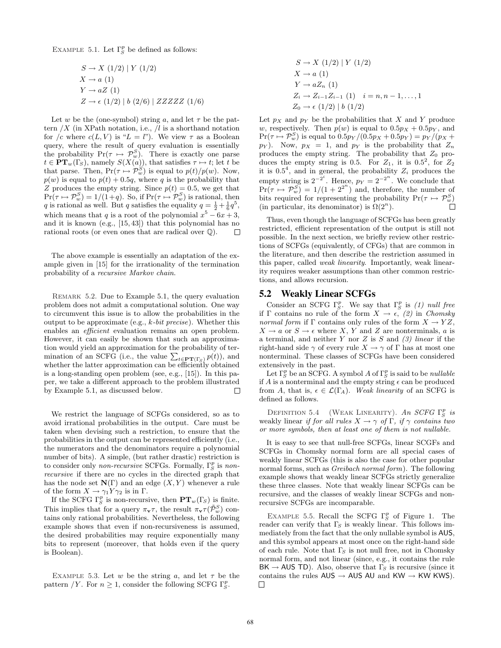EXAMPLE 5.1. Let  $\Gamma_S^p$  be defined as follows:

$$
S \to X (1/2) | Y (1/2)
$$
  
\n
$$
X \to a (1)
$$
  
\n
$$
Y \to aZ (1)
$$
  
\n
$$
Z \to \epsilon (1/2) | b (2/6) | ZZZZZ (1/6)
$$

Let w be the (one-symbol) string a, and let  $\tau$  be the pattern  $/X$  (in XPath notation, i.e.,  $/l$  is a shorthand notation for /c where  $c(L, V)$  is " $L = l$ "). We view  $\tau$  as a Boolean query, where the result of query evaluation is essentially the probability  $Pr(\tau \mapsto \mathcal{P}_w^S)$ . There is exactly one parse  $t \in \mathbf{PT}_w(\Gamma_S)$ , namely  $S(X(a))$ , that satisfies  $\tau \mapsto t$ ; let t be that parse. Then,  $Pr(\tau \mapsto \mathcal{P}_w^S)$  is equal to  $p(t)/p(w)$ . Now,  $p(w)$  is equal to  $p(t) + 0.5q$ , where q is the probability that Z produces the empty string. Since  $p(t) = 0.5$ , we get that  $Pr(\tau \mapsto \mathcal{P}_w^S) = 1/(1+q)$ . So, if  $Pr(\tau \mapsto \mathcal{P}_w^S)$  is rational, then q is rational as well. But q satisfies the equality  $q = \frac{1}{2} + \frac{1}{6}q^5$ , which means that q is a root of the polynomial  $x^5 - 6x + 3$ , and it is known (e.g., [15, 43]) that this polynomial has no rational roots (or even ones that are radical over Q).  $\Box$ 

The above example is essentially an adaptation of the example given in [15] for the irrationality of the termination probability of a recursive Markov chain.

Remark 5.2. Due to Example 5.1, the query evaluation problem does not admit a computational solution. One way to circumvent this issue is to allow the probabilities in the output to be approximate (e.g.,  $k$ -bit precise). Whether this enables an efficient evaluation remains an open problem. However, it can easily be shown that such an approximation would yield an approximation for the probability of tertion would yield an approximation for the probability of ter-<br>mination of an SCFG (i.e., the value  $\sum_{t \in \mathbf{PT}(\Gamma_S)} p(t)$ ), and whether the latter approximation can be efficiently obtained is a long-standing open problem (see, e.g., [15]). In this paper, we take a different approach to the problem illustrated by Example 5.1, as discussed below.  $\Box$ 

We restrict the language of SCFGs considered, so as to avoid irrational probabilities in the output. Care must be taken when devising such a restriction, to ensure that the probabilities in the output can be represented efficiently (i.e., the numerators and the denominators require a polynomial number of bits). A simple, (but rather drastic) restriction is to consider only *non-recursive* SCFGs. Formally,  $\Gamma_S^p$  is *non*recursive if there are no cycles in the directed graph that has the node set  $\mathbf{N}(\Gamma)$  and an edge  $(X, Y)$  whenever a rule of the form  $X \to \gamma_1 Y \gamma_2$  is in  $\Gamma$ .

If the SCFG  $\Gamma_S^p$  is non-recursive, then  $\mathbf{PT}_w(\Gamma_S)$  is finite. This implies that for a query  $\pi_{\mathbf{v}}\tau$ , the result  $\pi_{\mathbf{v}}\tau(\tilde{\mathcal{P}}_w^S)$  contains only rational probabilities. Nevertheless, the following example shows that even if non-recursiveness is assumed, the desired probabilities may require exponentially many bits to represent (moreover, that holds even if the query is Boolean).

EXAMPLE 5.3. Let w be the string a, and let  $\tau$  be the pattern /*Y*. For  $n \geq 1$ , consider the following SCFG  $\Gamma_S^p$ .

$$
S \to X \ (1/2) \mid Y \ (1/2)
$$
  
\n
$$
X \to a \ (1)
$$
  
\n
$$
Y \to aZ_n \ (1)
$$
  
\n
$$
Z_i \to Z_{i-1}Z_{i-1} \ (1) \quad i = n, n-1, ..., 1
$$
  
\n
$$
Z_0 \to \epsilon \ (1/2) \mid b \ (1/2)
$$

Let  $p_X$  and  $p_Y$  be the probabilities that X and Y produce w, respectively. Then  $p(w)$  is equal to  $0.5p_X + 0.5p_Y$ , and  $Pr(\tau \mapsto \mathcal{P}_w^S)$  is equal to  $0.5p_Y/(0.5p_X + 0.5p_Y) = p_Y/(p_X + 1)$  $p_Y$ ). Now,  $p_X = 1$ , and  $p_Y$  is the probability that  $Z_n$ produces the empty string. The probability that  $Z_0$  produces the empty string is 0.5. For  $Z_1$ , it is 0.5<sup>2</sup>, for  $Z_2$ it is  $0.5^4$ , and in general, the probability  $Z_i$  produces the empty string is  $2^{-2^i}$ . Hence,  $p_Y = 2^{-2^n}$ . We conclude that  $Pr(\tau \mapsto \mathcal{P}_{w}^{S}) = 1/(1+2^{2^{n}})$  and, therefore, the number of bits required for representing the probability  $Pr(\tau \mapsto \mathcal{P}_w^S)$ (in particular, its denominator) is  $\Omega(2^n)$ .  $\Box$ 

Thus, even though the language of SCFGs has been greatly restricted, efficient representation of the output is still not possible. In the next section, we briefly review other restrictions of SCFGs (equivalently, of CFGs) that are common in the literature, and then describe the restriction assumed in this paper, called weak linearity. Importantly, weak linearity requires weaker assumptions than other common restrictions, and allows recursion.

## 5.2 Weakly Linear SCFGs

Consider an SCFG  $\Gamma_S^p$ . We say that  $\Gamma_S^p$  is (1) null free if Γ contains no rule of the form  $X \to \epsilon$ , (2) in Chomsky normal form if  $\Gamma$  contains only rules of the form  $X \to YZ$ ,  $X \to a$  or  $S \to \epsilon$  where X, Y and Z are nonterminals, a is a terminal, and neither Y nor Z is S and  $(3)$  linear if the right-hand side  $\gamma$  of every rule  $X \to \gamma$  of  $\Gamma$  has at most one nonterminal. These classes of SCFGs have been considered extensively in the past.

Let  $\Gamma_S^p$  be an SCFG. A symbol A of  $\Gamma_S^p$  is said to be *nullable* if A is a nonterminal and the empty string  $\epsilon$  can be produced from A, that is,  $\epsilon \in \mathcal{L}(\Gamma_A)$ . Weak linearity of an SCFG is defined as follows.

DEFINITION 5.4 (WEAK LINEARITY). An SCFG  $\Gamma_S^p$  is weakly linear if for all rules  $X \to \gamma$  of  $\Gamma$ , if  $\gamma$  contains two or more symbols, then at least one of them is not nullable.

It is easy to see that null-free SCFGs, linear SCGFs and SCFGs in Chomsky normal form are all special cases of weakly linear SCFGs (this is also the case for other popular normal forms, such as Greibach normal form). The following example shows that weakly linear SCFGs strictly generalize these three classes. Note that weakly linear SCFGs can be recursive, and the classes of weakly linear SCFGs and nonrecursive SCFGs are incomparable.

EXAMPLE 5.5. Recall the SCFG  $\Gamma_S^p$  of Figure 1. The reader can verify that  $\Gamma_S$  is weakly linear. This follows immediately from the fact that the only nullable symbol is AUS, and this symbol appears at most once on the right-hand side of each rule. Note that  $\Gamma_S$  is not null free, not in Chomsky normal form, and not linear (since, e.g., it contains the rule  $BK \rightarrow AUS TD$ ). Also, observe that  $\Gamma_S$  is recursive (since it contains the rules  $AUS \rightarrow AUS \text{ AU}$  and  $KW \rightarrow KW \text{ KWS}).$  $\Box$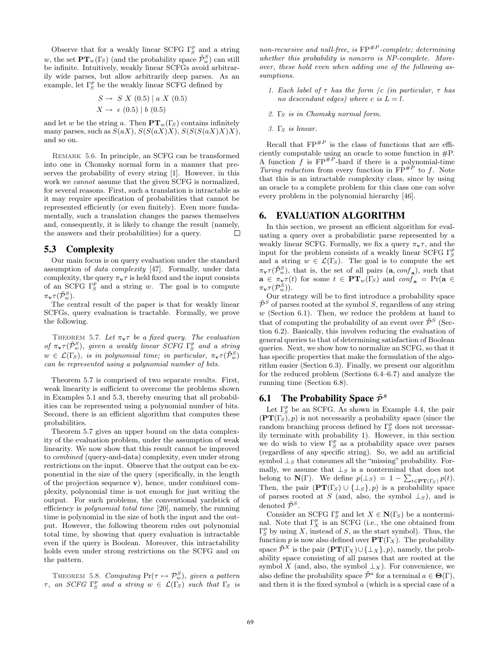Observe that for a weakly linear SCFG  $\Gamma_S^p$  and a string w, the set  $\mathbf{PT}_w(\Gamma_S)$  (and the probability space  $\tilde{\mathcal{P}}_w^S$ ) can still be infinite. Intuitively, weakly linear SCFGs avoid arbitrarily wide parses, but allow arbitrarily deep parses. As an example, let  $\Gamma_S^p$  be the weakly linear SCFG defined by

$$
S \to S X (0.5) | a X (0.5)
$$
  

$$
X \to \epsilon (0.5) | b (0.5)
$$

and let w be the string a. Then  $PT_w(\Gamma_s)$  contains infinitely many parses, such as  $S(aX)$ ,  $S(S(aX)X)$ ,  $S(S(S(aX)X)X)$ , and so on.

Remark 5.6. In principle, an SCFG can be transformed into one in Chomsky normal form in a manner that preserves the probability of every string [1]. However, in this work we *cannot* assume that the given SCFG is normalized, for several reasons. First, such a translation is intractable as it may require specification of probabilities that cannot be represented efficiently (or even finitely). Even more fundamentally, such a translation changes the parses themselves and, consequently, it is likely to change the result (namely, the answers and their probabilities) for a query.  $\Box$ 

# 5.3 Complexity

Our main focus is on query evaluation under the standard assumption of data complexity [47]. Formally, under data complexity, the query  $\pi_{\mathbf{v}}\tau$  is held fixed and the input consists of an SCFG  $\Gamma_S^p$  and a string w. The goal is to compute  $\pi_{\mathbf{v}} \tau (\tilde{\mathcal{P}}_w^S).$ 

The central result of the paper is that for weakly linear SCFGs, query evaluation is tractable. Formally, we prove the following.

THEOREM 5.7. Let  $\pi_v \tau$  be a fixed query. The evaluation of  $\pi_{\mathbf{v}} \tau(\tilde{\mathcal{P}}_w^S)$ , given a weakly linear  $\hat{SCFG} \Gamma_S^p$  and a string  $w \in \mathcal{L}(\Gamma_S)$ , is in polynomial time; in particular,  $\pi_{\mathbf{v}} \tau(\tilde{\mathcal{P}}_w^S)$ can be represented using a polynomial number of bits.

Theorem 5.7 is comprised of two separate results. First, weak linearity is sufficient to overcome the problems shown in Examples 5.1 and 5.3, thereby ensuring that all probabilities can be represented using a polynomial number of bits. Second, there is an efficient algorithm that computes these probabilities.

Theorem 5.7 gives an upper bound on the data complexity of the evaluation problem, under the assumption of weak linearity. We now show that this result cannot be improved to combined (query-and-data) complexity, even under strong restrictions on the input. Observe that the output can be exponential in the size of the query (specifically, in the length of the projection sequence  $\bf{v}$ ), hence, under combined complexity, polynomial time is not enough for just writing the output. For such problems, the conventional yardstick of efficiency is polynomial total time [20], namely, the running time is polynomial in the size of both the input and the output. However, the following theorem rules out polynomial total time, by showing that query evaluation is intractable even if the query is Boolean. Moreover, this intractability holds even under strong restrictions on the SCFG and on the pattern.

THEOREM 5.8. Computing  $Pr(\tau \mapsto \mathcal{P}_w^S)$ , given a pattern  $\tau$ , an SCFG  $\Gamma_S^p$  and a string  $w \in \mathcal{L}(\Gamma_S)$  such that  $\Gamma_S$  is

non-recursive and null-free, is  $\text{FP}^{+P}$ -complete; determining whether this probability is nonzero is NP-complete. Moreover, these hold even when adding one of the following assumptions.

- 1. Each label of  $\tau$  has the form /c (in particular,  $\tau$  has no descendant edges) where c is  $L = l$ .
- 2. Γs is in Chomsky normal form.
- 3.  $\Gamma_{\rm S}$  is linear.

Recall that  $\text{FP}^{\#P}$  is the class of functions that are efficiently computable using an oracle to some function in #P. A function f is  $FP^{#P}$ -hard if there is a polynomial-time Turing reduction from every function in  $\overline{FP}^{\#P}$  to f. Note that this is an intractable complexity class, since by using an oracle to a complete problem for this class one can solve every problem in the polynomial hierarchy [46].

## 6. EVALUATION ALGORITHM

In this section, we present an efficient algorithm for evaluating a query over a probabilistic parse represented by a weakly linear SCFG. Formally, we fix a query  $\pi_{\mathbf{v}}\tau$ , and the input for the problem consists of a weakly linear SCFG  $\Gamma_S^p$ and a string  $w \in \mathcal{L}(\Gamma_S)$ . The goal is to compute the set  $\pi_{\mathbf{v}} \tau(\tilde{\mathcal{P}}_w^S)$ , that is, the set of all pairs  $(\mathbf{a}, \text{conf}_{\mathbf{a}})$ , such that  $\mathbf{a} \in \pi_{\mathbf{v}} \tau(t)$  for some  $t \in \mathbf{PT}_w(\Gamma_S)$  and  $\text{conf}_\mathbf{a} = \Pr(\mathbf{a} \in \mathcal{C})$  $\pi_{\mathbf{v}} \tau(\mathcal{P}_w^S)).$ 

Our strategy will be to first introduce a probability space  $\tilde{\mathcal{P}}^S$  of parses rooted at the symbol S, regardless of any string  $w$  (Section 6.1). Then, we reduce the problem at hand to that of computing the probability of an event over  $\tilde{\mathcal{P}}^S$  (Section 6.2). Basically, this involves reducing the evaluation of general queries to that of determining satisfaction of Boolean queries. Next, we show how to normalize an SCFG, so that it has specific properties that make the formulation of the algorithm easier (Section 6.3). Finally, we present our algorithm for the reduced problem (Sections 6.4–6.7) and analyze the running time (Section 6.8).

## **6.1 The Probability Space**  $\tilde{\mathcal{P}}^S$

Let  $\Gamma_S^p$  be an SCFG. As shown in Example 4.4, the pair  $(PT(\Gamma_s), p)$  is not necessarily a probability space (since the random branching process defined by  $\Gamma_S^p$  does not necessarily terminate with probability 1). However, in this section we do wish to view  $\Gamma_S^p$  as a probability space over parses (regardless of any specific string). So, we add an artificial symbol  $\perp_S$  that consumes all the "missing" probability. Formally, we assume that  $\perp_S$  is a nonterminal that does not belong to  $\mathbf{N}(\Gamma)$ . We define  $p(\perp_S) = 1 - \sum_{t \in \mathbf{PT}(\Gamma_S)} p(t)$ . Then, the pair  $(PT(\Gamma_s) \cup \{\perp_s\}, p)$  is a probability space of parses rooted at S (and, also, the symbol  $\perp$ s), and is denoted  $\tilde{\mathcal{P}}^S$ .

Consider an SCFG  $\Gamma_S^p$  and let  $X \in \mathbf{N}(\Gamma_S)$  be a nonterminal. Note that  $\Gamma_X^p$  is an SCFG (i.e., the one obtained from  $\Gamma_S^p$  by using X, instead of S, as the start symbol). Thus, the function p is now also defined over  $PT(\Gamma_X)$ . The probability space  $\tilde{\mathcal{P}}^X$  is the pair  $(\mathbf{PT}(\Gamma_X) \cup \{\perp_X\}, p)$ , namely, the probability space consisting of all parses that are rooted at the symbol X (and, also, the symbol  $\perp_X$ ). For convenience, we also define the probability space  $\tilde{\mathcal{P}}^a$  for a terminal  $a \in \Theta(\Gamma)$ , and then it is the fixed symbol  $a$  (which is a special case of a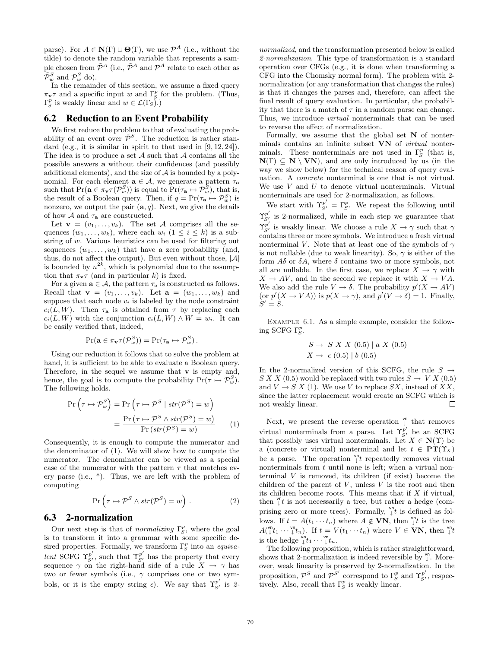parse). For  $A \in \mathbb{N}(\Gamma) \cup \Theta(\Gamma)$ , we use  $\mathcal{P}^A$  (i.e., without the tilde) to denote the random variable that represents a sample chosen from  $\tilde{\mathcal{P}}^A$  (i.e.,  $\tilde{\mathcal{P}}^A$  and  $\mathcal{P}^A$  relate to each other as  $\tilde{\mathcal{P}}_w^S$  and  $\mathcal{P}_w^S$  do).

In the remainder of this section, we assume a fixed query  $\pi_{\mathbf{v}}\tau$  and a specific input w and  $\Gamma_S^p$  for the problem. (Thus,  $\Gamma_S^p$  is weakly linear and  $w \in \mathcal{L}(\Gamma_S)$ .

## 6.2 Reduction to an Event Probability

We first reduce the problem to that of evaluating the probability of an event over  $\tilde{\mathcal{P}}^S$ . The reduction is rather standard (e.g., it is similar in spirit to that used in [9, 12, 24]). The idea is to produce a set  $A$  such that  $A$  contains all the possible answers a without their confidences (and possibly additional elements), and the size of  $A$  is bounded by a polynomial. For each element  $\mathbf{a} \in \mathcal{A}$ , we generate a pattern  $\tau_{\mathbf{a}}$ such that  $Pr(\mathbf{a} \in \pi_{\mathbf{v}} \tau(\mathcal{P}_w^S))$  is equal to  $Pr(\tau_{\mathbf{a}} \mapsto \mathcal{P}_w^S)$ , that is, the result of a Boolean query. Then, if  $q = Pr(\tau_a \mapsto \mathcal{P}_w^S)$  is nonzero, we output the pair  $(a, q)$ . Next, we give the details of how  $\mathcal A$  and  $\tau_a$  are constructed.

Let  $\mathbf{v} = (v_1, \ldots, v_k)$ . The set A comprises all the sequences  $(w_1, \ldots, w_k)$ , where each  $w_i$   $(1 \leq i \leq k)$  is a substring of w. Various heuristics can be used for filtering out sequences  $(w_1, \ldots, w_k)$  that have a zero probability (and, thus, do not affect the output). But even without those,  $|\mathcal{A}|$ is bounded by  $n^{2k}$ , which is polynomial due to the assumption that  $\pi_{\mathbf{v}}\tau$  (and in particular k) is fixed.

For a given  $\mathbf{a} \in \mathcal{A}$ , the pattern  $\tau_a$  is constructed as follows. Recall that  $\mathbf{v} = (v_1, \ldots, v_k)$ . Let  $\mathbf{a} = (w_1, \ldots, w_k)$  and suppose that each node  $v_i$  is labeled by the node constraint  $c_i(L, W)$ . Then  $\tau_a$  is obtained from  $\tau$  by replacing each  $c_i(L, W)$  with the conjunction  $c_i(L, W) \wedge W = w_i$ . It can be easily verified that, indeed,

$$
\Pr(\mathbf{a} \in \pi_{\mathbf{v}} \tau(\mathcal{P}_w^S)) = \Pr(\tau_{\mathbf{a}} \mapsto \mathcal{P}_w^S).
$$

Using our reduction it follows that to solve the problem at hand, it is sufficient to be able to evaluate a Boolean query. Therefore, in the sequel we assume that **v** is empty and, hence, the goal is to compute the probability  $Pr(\tau \mapsto \mathcal{P}_w^S)$ . The following holds.

$$
\Pr\left(\tau \mapsto \mathcal{P}_w^S\right) = \Pr\left(\tau \mapsto \mathcal{P}^S \mid str(\mathcal{P}^S) = w\right)
$$

$$
= \frac{\Pr\left(\tau \mapsto \mathcal{P}^S \land str(\mathcal{P}^S) = w\right)}{\Pr\left(str(\mathcal{P}^S) = w\right)} \tag{1}
$$

Consequently, it is enough to compute the numerator and the denominator of (1). We will show how to compute the numerator. The denominator can be viewed as a special case of the numerator with the pattern  $\tau$  that matches every parse (i.e., \*). Thus, we are left with the problem of computing

$$
\Pr\left(\tau \mapsto \mathcal{P}^S \wedge str(\mathcal{P}^S) = w\right). \tag{2}
$$

#### 6.3 2-normalization

Our next step is that of *normalizing*  $\Gamma_S^p$ , where the goal is to transform it into a grammar with some specific desired properties. Formally, we transform  $\Gamma_S^p$  into an *equiva*lent SCFG  $\Upsilon_{S'}^{p'}$ , such that  $\Upsilon_{S'}^{p'}$  has the property that every sequence  $\gamma$  on the right-hand side of a rule  $X \to \gamma$  has two or fewer symbols (i.e., γ comprises one or two symbols, or it is the empty string  $\epsilon$ ). We say that  $\Upsilon_{S'}^{p'}$  is 2-

normalized, and the transformation presented below is called 2-normalization. This type of transformation is a standard operation over CFGs (e.g., it is done when transforming a CFG into the Chomsky normal form). The problem with 2 normalization (or any transformation that changes the rules) is that it changes the parses and, therefore, can affect the final result of query evaluation. In particular, the probability that there is a match of  $\tau$  in a random parse can change. Thus, we introduce virtual nonterminals that can be used to reverse the effect of normalization.

Formally, we assume that the global set  $N$  of nonterminals contains an infinite subset VN of virtual nonterminals. These nonterminals are not used in  $\Gamma_S^p$  (that is,  $N(\Gamma) \subseteq N \setminus VN$ , and are only introduced by us (in the way we show below) for the technical reason of query evaluation. A concrete nonterminal is one that is not virtual. We use  $V$  and  $U$  to denote virtual nonterminals. Virtual nonterminals are used for 2-normalization, as follows.

We start with  $\Upsilon_{S'}^{p'} = \Gamma_S^p$ . We repeat the following until  $\Upsilon_{S'}^{p'}$  is 2-normalized, while in each step we guarantee that  $\Upsilon_{S'}^{\overline{p}'}$  is weakly linear. We choose a rule  $X\to\gamma$  such that  $\gamma$ contains three or more symbols. We introduce a fresh virtual nonterminal V. Note that at least one of the symbols of  $\gamma$ is not nullable (due to weak linearity). So,  $\gamma$  is either of the form  $A\delta$  or  $\delta A$ , where  $\delta$  contains two or more symbols, not all are nullable. In the first case, we replace  $X \to \gamma$  with  $X \to AV$ , and in the second we replace it with  $X \to VA$ . We also add the rule  $V \to \delta$ . The probability  $p'(X \to AV)$ (or  $p'(X \to VA)$ ) is  $p(X \to \gamma)$ , and  $p'(V \to \delta) = 1$ . Finally,  $S' = S.$ 

EXAMPLE 6.1. As a simple example, consider the following SCFG  $\Gamma_S^p$ .

$$
S \rightarrow S X X (0.5) | a X (0.5)
$$
  

$$
X \rightarrow \epsilon (0.5) | b (0.5)
$$

In the 2-normalized version of this SCFG, the rule  $S \rightarrow$  $S X X (0.5)$  would be replaced with two rules  $S \to V X (0.5)$ and  $V \to S X$  (1). We use V to replace SX, instead of XX, since the latter replacement would create an SCFG which is not weakly linear. П

Next, we present the reverse operation  $\int_{1}^{\infty}$  that removes virtual nonterminals from a parse. Let  $\Upsilon_{S'}^{p'}$  be an SCFG that possibly uses virtual nonterminals. Let  $X \in N(\Upsilon)$  be a (concrete or virtual) nonterminal and let  $t \in PT(\Upsilon_X)$ be a parse. The operation  $\int_{t}^{\mathsf{vn}} t$  repeatedly removes virtual nonterminals from  $t$  until none is left; when a virtual nonterminal  $V$  is removed, its children (if exist) become the children of the parent of  $V$ , unless  $V$  is the root and then its children become roots. This means that if  $X$  if virtual, then  $\int_{l}^{\infty}$  is not necessarily a tree, but rather a hedge (comprising zero or more trees). Formally,  $\int_{0}^{\infty}$  is defined as follows. If  $t = A(t_1 \cdots t_n)$  where  $A \notin \mathbf{VN}$ , then  $\int_t^{\infty} t \, dt$  is the tree  $A(\begin{smallmatrix} \mathsf{v} \mathsf{n} \\ \downarrow \end{smallmatrix} t_1 \cdots \begin{smallmatrix} \mathsf{v} \mathsf{n} \\ \downarrow \end{smallmatrix} t_n)$ . If  $t = V(t_1 \cdots t_n)$  where  $V \in \mathbf{VN}$ , then  $\begin{smallmatrix} \mathsf{v} \mathsf{n} \\ \downarrow \end{smallmatrix} t$ is the hedge  $\int_t^{\infty} t_1 \cdots \int_t^{\infty} t_n$ .

The following proposition, which is rather straightforward, shows that 2-normalization is indeed reversible by  $\int_{\tau}^{\nu n}$ . Moreover, weak linearity is preserved by 2-normalization. In the proposition,  $\mathcal{P}^S$  and  $\mathcal{P}^{S'}$  correspond to  $\Gamma_S^p$  and  $\Upsilon_{S'}^{p'}$ , respectively. Also, recall that  $\Gamma_S^p$  is weakly linear.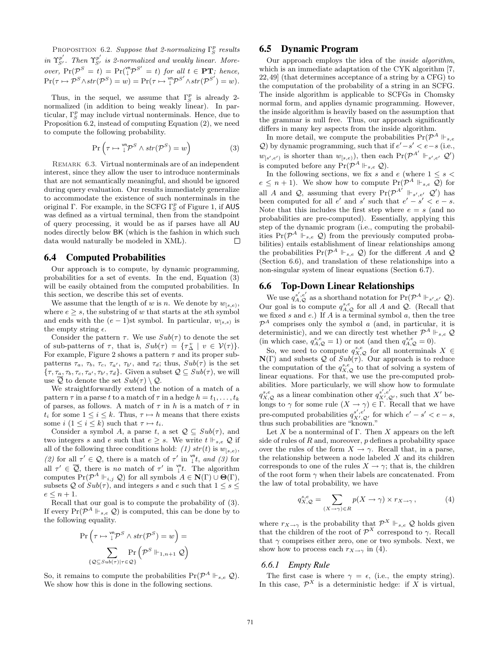PROPOSITION 6.2. Suppose that 2-normalizing  $\Gamma_S^p$  results in  $\Upsilon_{S'}^{p'}$ . Then  $\Upsilon_{S'}^{p'}$  is 2-normalized and weakly linear. Moreover,  $Pr(\mathcal{P}^S = t) = Pr(\mathcal{P}^S = t)$  for all  $t \in \mathbf{PT}$ ; hence,  $\Pr(\tau \mapsto \mathcal{P}^S \wedge str(\mathcal{P}^S) = w) = \Pr(\tau \mapsto {}^{\mathsf{vn}}_{\perp} \mathcal{P}^{S'} \wedge str(\mathcal{P}^{S'}) = w).$ 

Thus, in the sequel, we assume that  $\Gamma_S^p$  is already 2normalized (in addition to being weakly linear). In particular,  $\Gamma_S^p$  may include virtual nonterminals. Hence, due to Proposition 6.2, instead of computing Equation (2), we need to compute the following probability.

$$
\Pr\left(\tau \mapsto \mathbb{I}^{\mathsf{vn}} \mathcal{P}^S \land str(\mathcal{P}^S) = w\right)
$$
 (3)

REMARK 6.3. Virtual nonterminals are of an independent interest, since they allow the user to introduce nonterminals that are not semantically meaningful, and should be ignored during query evaluation. Our results immediately generalize to accommodate the existence of such nonterminals in the original  $\Gamma$ . For example, in the SCFG  $\Gamma_S^p$  of Figure 1, if AUS was defined as a virtual terminal, then from the standpoint of query processing, it would be as if parses have all AU nodes directly below BK (which is the fashion in which such data would naturally be modeled in XML).  $\Box$ 

#### 6.4 Computed Probabilities

Our approach is to compute, by dynamic programming, probabilities for a set of events. In the end, Equation (3) will be easily obtained from the computed probabilities. In this section, we describe this set of events.

We assume that the length of w is n. We denote by  $w_{[s,e)}$ , where  $e \geq s$ , the substring of w that starts at the sth symbol and ends with the  $(e - 1)$ st symbol. In particular,  $w_{[s,s)}$  is the empty string  $\epsilon$ .

Consider the pattern  $\tau$ . We use  $Sub(\tau)$  to denote the set of sub-patterns of  $\tau$ , that is,  $Sub(\tau) = {\tau_{\Delta}^v \mid v \in V(\tau)}$ . For example, Figure 2 shows a pattern  $\tau$  and its proper subpatterns  $\tau_a$ ,  $\tau_b$ ,  $\tau_c$ ,  $\tau_{a'}$ ,  $\tau_{b'}$ , and  $\tau_d$ ; thus,  $Sub(\tau)$  is the set  $\{\tau, \tau_a, \tau_b, \tau_c, \tau_{a'}, \tau_{b'}, \tau_d\}.$  Given a subset  $\mathcal{Q} \subseteq Sub(\tau)$ , we will use  $\overline{Q}$  to denote the set  $Sub(\tau) \setminus Q$ .

We straightforwardly extend the notion of a match of a pattern  $\tau$  in a parse t to a match of  $\tau$  in a hedge  $h = t_1, \ldots, t_k$ of parses, as follows. A match of  $\tau$  in h is a match of  $\tau$  in  $t_i$  for some  $1 \leq i \leq k$ . Thus,  $\tau \mapsto h$  means that there exists some  $i$   $(1 \leq i \leq k)$  such that  $\tau \mapsto t_i$ .

Consider a symbol A, a parse t, a set  $\mathcal{Q} \subseteq Sub(\tau)$ , and two integers s and e such that  $e \geq s$ . We write  $t \Vdash_{s,e} \mathcal{Q}$  if all of the following three conditions hold: (1)  $str(t)$  is  $w_{[s,e)}$ , (2) for all  $\tau' \in \mathcal{Q}$ , there is a match of  $\tau'$  in  $\int_{1}^{\infty} t$ , and (3) for all  $\tau' \in \overline{Q}$ , there is no match of  $\tau'$  in  $\int_{l}^{\infty}$ . The algorithm computes  $Pr(\mathcal{P}^A \Vdash_{i,j} \mathcal{Q})$  for all symbols  $A \in \mathbf{N}(\Gamma) \cup \Theta(\Gamma)$ , subsets Q of  $Sub(\tau)$ , and integers s and e such that  $1 \leq s \leq$  $e \leq n + 1$ .

Recall that our goal is to compute the probability of (3). If every  $Pr(\mathcal{P}^A \Vdash_{s,e} \mathcal{Q})$  is computed, this can be done by to the following equality.

$$
\Pr\left(\tau \mapsto \mathbb{I}^n \mathcal{P}^S \land str(\mathcal{P}^S) = w\right) = \\ \sum_{\{\mathcal{Q} \subseteq Sub(\tau) | \tau \in \mathcal{Q}\}} \Pr\left(\mathcal{P}^S \Vdash_{1, n+1} \mathcal{Q}\right)
$$

So, it remains to compute the probabilities  $Pr(\mathcal{P}^A \Vdash_{s,e} \mathcal{Q})$ . We show how this is done in the following sections.

# 6.5 Dynamic Program

Our approach employs the idea of the inside algorithm, which is an immediate adaptation of the CYK algorithm [7, 22,49] (that determines acceptance of a string by a CFG) to the computation of the probability of a string in an SCFG. The inside algorithm is applicable to SCFGs in Chomsky normal form, and applies dynamic programming. However, the inside algorithm is heavily based on the assumption that the grammar is null free. Thus, our approach significantly differs in many key aspects from the inside algorithm.

In more detail, we compute the probabilities  $Pr(\mathcal{P}^A \Vdash_{s,e}$ Q) by dynamic programming, such that if  $e' - s' < e − s$  (i.e.,  $w_{[s',e')}$  is shorter than  $w_{[s,e)}$ ), then each  $Pr(\mathcal{P}^{A'} | \vdash_{s',e'} \mathcal{Q}')$ is computed before any  $Pr(\mathcal{P}^A \Vdash_{s,e} \mathcal{Q})$ .

In the following sections, we fix s and e (where  $1 \leq s$ )  $e \leq n+1$ ). We show how to compute  $Pr(\mathcal{P}^A \Vdash_{s,e} \mathcal{Q})$  for all A and Q, assuming that every  $Pr(\mathcal{P}^{A'} \Vdash_{s',e'} \mathcal{Q}')$  has been computed for all  $e'$  and  $s'$  such that  $e' - s' < e - s$ . Note that this includes the first step where  $e = s$  (and no probabilities are pre-computed). Essentially, applying this step of the dynamic program (i.e., computing the probabilities  $Pr(\mathcal{P}^A \Vdash_{s,e} \mathcal{Q})$  from the previously computed probabilities) entails establishment of linear relationships among the probabilities  $Pr(\mathcal{P}^A \Vdash_{s,e} \mathcal{Q})$  for the different A and  $\mathcal{Q}$ (Section 6.6), and translation of these relationships into a non-singular system of linear equations (Section 6.7).

#### 6.6 Top-Down Linear Relationships

We use  $q_{A,\mathcal{Q}}^{s',e'}$  as a shorthand notation for  $Pr(\mathcal{P}^A \Vdash_{s',e'} \mathcal{Q})$ . Our goal is to compute  $q_{A,Q}^{s,e}$  for all A and Q. (Recall that we fixed s and e.) If A is a terminal symbol  $a$ , then the tree  $\mathcal{P}^A$  comprises only the symbol a (and, in particular, it is deterministic), and we can directly test whether  $\mathcal{P}^A \Vdash_{s,e} \mathcal{Q}$ (in which case,  $q_{A,Q}^{s,e} = 1$ ) or not (and then  $q_{A,Q}^{s,e} = 0$ ).

So, we need to compute  $q_{X,Q}^{s,e}$  for all nonterminals  $X \in$  $\mathbf{N}(\Gamma)$  and subsets Q of  $Sub(\tau)$ . Our approach is to reduce the computation of the  $q_{X,Q}^{s,e}$  to that of solving a system of linear equations. For that, we use the pre-computed probabilities. More particularly, we will show how to formulate  $q_{X,Q}^{s,e}$  as a linear combination other  $q_{X',Q'}^{s',e'}$ , such that X' belongs to  $\gamma$  for some rule  $(X \to \gamma) \in \Gamma$ . Recall that we have pre-computed probabilities  $q_{X',Q'}^{s',e'}$  for which  $e'-s' < e-s$ , thus such probabilities are "known."

Let X be a nonterminal of Γ. Then X appears on the left side of rules of  $R$  and, moreover,  $p$  defines a probability space over the rules of the form  $X \to \gamma$ . Recall that, in a parse, the relationship between a node labeled  $X$  and its children corresponds to one of the rules  $X \to \gamma$ ; that is, the children of the root form  $\gamma$  when their labels are concatenated. From the law of total probability, we have

$$
q_{X,\mathcal{Q}}^{s,e} = \sum_{(X\to\gamma)\in R} p(X\to\gamma) \times r_{X\to\gamma},\tag{4}
$$

where  $r_{X\to\gamma}$  is the probability that  $\mathcal{P}^X \Vdash_{s,e} \mathcal{Q}$  holds given that the children of the root of  $\mathcal{P}^{X}$  correspond to  $\gamma$ . Recall that  $\gamma$  comprises either zero, one or two symbols. Next, we show how to process each  $r_{X\to\gamma}$  in (4).

#### *6.6.1 Empty Rule*

The first case is where  $\gamma = \epsilon$ , (i.e., the empty string). In this case,  $\mathcal{P}^X$  is a deterministic hedge: if X is virtual,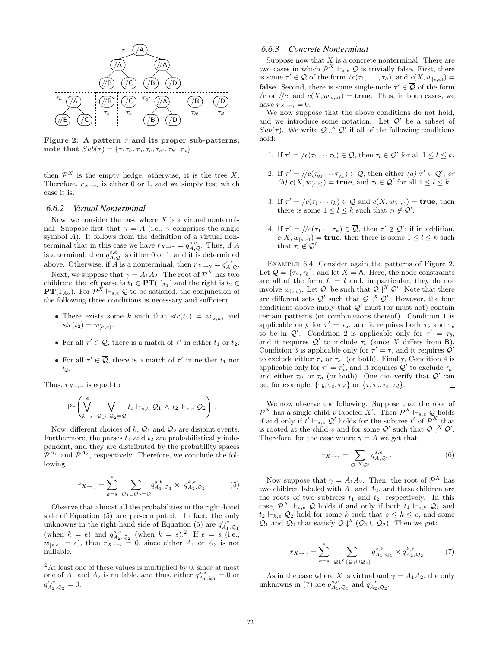

Figure 2: A pattern  $\tau$  and its proper sub-patterns; note that  $Sub(\tau) = {\tau, \tau_a, \tau_b, \tau_c, \tau_{a'}, \tau_{b'}, \tau_d}$ 

then  $\mathcal{P}^X$  is the empty hedge; otherwise, it is the tree X. Therefore,  $r_{X\to\gamma}$  is either 0 or 1, and we simply test which case it is.

#### *6.6.2 Virtual Nonterminal*

Now, we consider the case where  $X$  is a virtual nonterminal. Suppose first that  $\gamma = A$  (i.e.,  $\gamma$  comprises the single symbol A). It follows from the definition of a virtual nonterminal that in this case we have  $r_{X\to\gamma} = q_{A,\mathcal{Q}}^{s,e}$ . Thus, if A is a terminal, then  $q_{A,\mathcal{Q}}^{s,e}$  is either 0 or 1, and it is determined above. Otherwise, if A is a nonterminal, then  $r_{X\to\gamma} = q_{A,Q}^{s,e}$ .

Next, we suppose that  $\gamma = A_1 A_2$ . The root of  $\mathcal{P}^X$  has two children: the left parse is  $t_1 \in \mathbf{PT}(\Gamma_{A_1})$  and the right is  $t_2 \in$ **PT**( $\Gamma_{A_2}$ ). For  $\mathcal{P}^X \Vdash_{s,e} \mathcal{Q}$  to be satisfied, the conjunction of the following three conditions is necessary and sufficient.

- There exists some k such that  $str(t_1) = w_{[s,k)}$  and  $str(t_2) = w_{k,e}.$
- For all  $\tau' \in \mathcal{Q}$ , there is a match of  $\tau'$  in either  $t_1$  or  $t_2$ .
- For all  $\tau' \in \overline{Q}$ , there is a match of  $\tau'$  in neither  $t_1$  nor t2.

Thus,  $r_{X\to\gamma}$  is equal to

$$
\Pr\left(\bigvee_{k=s}^{e} \bigvee_{\mathcal{Q}_1\cup\mathcal{Q}_2=\mathcal{Q}} t_1 \Vdash_{s,k} \mathcal{Q}_1 \wedge t_2 \Vdash_{k,e} \mathcal{Q}_2\right).
$$

Now, different choices of k,  $\mathcal{Q}_1$  and  $\mathcal{Q}_2$  are disjoint events. Furthermore, the parses  $t_1$  and  $t_2$  are probabilistically independent, and they are distributed by the probability spaces  $\tilde{\mathcal{P}}^{A_1}$  and  $\tilde{\mathcal{P}}^{A_2}$ , respectively. Therefore, we conclude the following

$$
r_{X \to \gamma} = \sum_{k=s}^{e} \sum_{Q_1 \cup Q_2 = Q} q_{A_1, Q_1}^{s, k} \times q_{A_2, Q_2}^{k, e} \tag{5}
$$

Observe that almost all the probabilities in the right-hand side of Equation (5) are pre-computed. In fact, the only unknowns in the right-hand side of Equation (5) are  $q_{A_1,Q_1}^{s,e}$ (when  $k = e$ ) and  $q_{A_2, Q_2}^{s, e}$  (when  $k = s$ ).<sup>2</sup> If  $e = s$  (i.e.,  $w_{[s,e)} = \epsilon$ , then  $r_{X\to\gamma} = 0$ , since either  $A_1$  or  $A_2$  is not nullable.

#### *6.6.3 Concrete Nonterminal*

Suppose now that  $X$  is a concrete nonterminal. There are two cases in which  $\mathcal{P}^X \Vdash_{s,e} \mathcal{Q}$  is trivially false. First, there is some  $\tau' \in \mathcal{Q}$  of the form  $/c(\tau_1, \ldots, \tau_k)$ , and  $c(X, w_{[s,e)}) =$ **false**. Second, there is some single-node  $\tau' \in \overline{Q}$  of the form /c or //c, and  $c(X, w_{s,e})$  = **true**. Thus, in both cases, we have  $r_{X\to\gamma}=0$ .

We now suppose that the above conditions do not hold, and we introduce some notation. Let  $\mathcal{Q}'$  be a subset of Sub( $\tau$ ). We write  $Q \downarrow^{X} Q'$  if all of the following conditions hold:

- 1. If  $\tau' = /c(\tau_1 \cdots \tau_k) \in \mathcal{Q}$ , then  $\tau_l \in \mathcal{Q}'$  for all  $1 \leq l \leq k$ .
- 2. If  $\tau' = ||c(\tau_{q_1} \cdots \tau_{q_k}) \in \mathcal{Q}$ , then either  $(a) \tau' \in \mathcal{Q}'$ , or (b)  $c(X, w_{[s,e)}) =$  **true**, and  $\tau_l \in \mathcal{Q}'$  for all  $1 \leq l \leq k$ .
- 3. If  $\tau' = (c(\tau_1 \cdots \tau_k) \in \overline{Q}$  and  $c(X, w_{[s,e)}) =$  true, then there is some  $1 \leq l \leq k$  such that  $\tau_l \notin \mathcal{Q}'$ .
- 4. If  $\tau' = ||c(\tau_1 \cdots \tau_k) \in \overline{Q}$ , then  $\tau' \notin Q'$ ; if in addition,  $c(X, w_{[s,e)}) =$  true, then there is some  $1 \leq l \leq k$  such that  $\tau_l \notin \mathcal{Q}'$ .

Example 6.4. Consider again the patterns of Figure 2. Let  $\mathcal{Q} = {\tau_a, \tau_b}$ , and let  $X = A$ . Here, the node constraints are all of the form  $L = l$  and, in particular, they do not involve  $w_{[s,e)}$ . Let  $\mathcal{Q}'$  be such that  $\mathcal{Q}\downarrow^X\mathcal{Q}'$ . Note that there are different sets  $\mathcal{Q}'$  such that  $\mathcal{Q} \downarrow^X \mathcal{Q}'$ . However, the four conditions above imply that  $Q'$  must (or must not) contain certain patterns (or combinations thereof). Condition 1 is applicable only for  $\tau' = \tau_a$ , and it requires both  $\tau_b$  and  $\tau_c$ to be in  $Q'$ . Condition 2 is applicable only for  $\tau' = \tau_b$ , and it requires  $\mathcal{Q}'$  to include  $\tau_b$  (since X differs from B). Condition 3 is applicable only for  $\tau' = \tau$ , and it requires  $\mathcal{Q}'$ to exclude either  $\tau_a$  or  $\tau_{a'}$  (or both). Finally, Condition 4 is applicable only for  $\tau' = \tau'_a$ , and it requires  $\mathcal{Q}'$  to exclude  $\tau_{a'}$ and either  $\tau_{b'}$  or  $\tau_d$  (or both). One can verify that  $Q'$  can be, for example,  $\{\tau_b, \tau_c, \tau_{b'}\}$  or  $\{\tau, \tau_b, \tau_c, \tau_d\}.$  $\Box$ 

We now observe the following. Suppose that the root of  $\mathcal{P}^X$  has a single child v labeled X'. Then  $\mathcal{P}^X \Vdash_{s,e} \mathcal{Q}$  holds if and only if  $t' \Vdash_{s,e} \mathcal{Q}'$  holds for the subtree  $t'$  of  $\mathcal{P}^X$  that is rooted at the child v and for some  $\mathcal{Q}'$  such that  $\mathcal{Q} \downarrow^X \mathcal{Q}'$ . Therefore, for the case where  $\gamma = A$  we get that

$$
r_{X \to \gamma} = \sum_{\mathcal{Q} \mid X \mathcal{Q}'} q_{A, \mathcal{Q}'}^{s, e} . \tag{6}
$$

Now suppose that  $\gamma = A_1 A_2$ . Then, the root of  $\mathcal{P}^X$  has two children labeled with  $A_1$  and  $A_2$ , and these children are the roots of two subtrees  $t_1$  and  $t_2$ , respectively. In this case,  $\mathcal{P}^{X} \Vdash_{s,e} \mathcal{Q}$  holds if and only if both  $t_1 \Vdash_{s,k} \mathcal{Q}_1$  and  $t_2 \Vdash_{k,e} \mathcal{Q}_2$  hold for some k such that  $s \leq k \leq e$ , and some  $\mathcal{Q}_1$  and  $\mathcal{Q}_2$  that satisfy  $\mathcal{Q} \downarrow^X (\mathcal{Q}_1 \cup \mathcal{Q}_2)$ . Then we get:

$$
r_{X \to \gamma} = \sum_{k=s}^{e} \sum_{\mathcal{Q} \downarrow X(\mathcal{Q}_1 \cup \mathcal{Q}_2)} q_{A_1, \mathcal{Q}_1}^{s,k} \times q_{A_2, \mathcal{Q}_2}^{k,e} \tag{7}
$$

As in the case where X is virtual and  $\gamma = A_1 A_2$ , the only unknowns in (7) are  $q_{A_1,Q_1}^{s,e}$  and  $q_{A_2,Q_2}^{s,e}$ .

<sup>&</sup>lt;sup>2</sup>At least one of these values is multiplied by 0, since at most one of  $A_1$  and  $A_2$  is nullable, and thus, either  $q_{A_1,Q_1}^{s,s} = 0$  or  $q_{A_2,\mathcal{Q}_2}^{e,e} = 0.$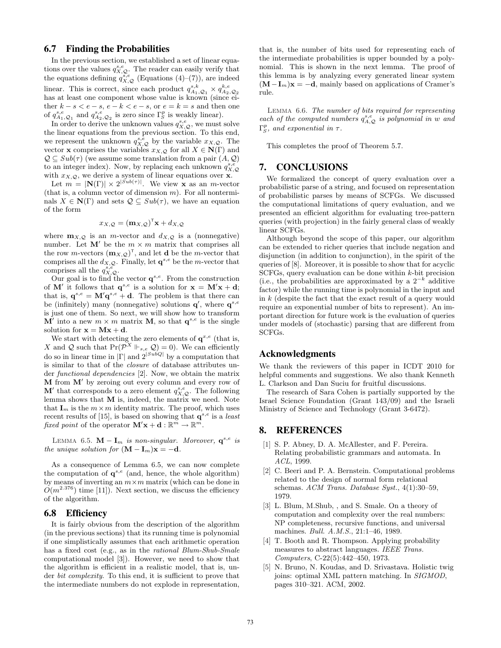# 6.7 Finding the Probabilities

In the previous section, we established a set of linear equations over the values  $q_{X,Q}^{s,e}$ . The reader can easily verify that the equations defining  $q_{X,Q}^{s,e}$  (Equations (4)–(7)), are indeed linear. This is correct, since each product  $q_{A_1,Q_1}^{s,k} \times q_{A_2,Q_2}^{k,e}$  has at least one component whose value is known (since either  $k - s < e - s$ ,  $e - k < e - s$ , or  $e = k = s$  and then one of  $q_{A_1,Q_1}^{s,e}$  and  $q_{A_2,Q_2}^{s,e}$  is zero since  $\Gamma_S^p$  is weakly linear).

In order to derive the unknown values  $q_{X,Q}^{s,e}$ , we must solve the linear equations from the previous section. To this end, we represent the unknown  $q_{X,Q}^{s,\tilde{e}}$  by the variable  $x_{X,Q}$ . The vector **x** comprises the variables  $x_{X,Q}$  for all  $X \in N(\Gamma)$  and  $\mathcal{Q} \subseteq Sub(\tau)$  (we assume some translation from a pair  $(A, \mathcal{Q})$ ) to an integer index). Now, by replacing each unknown  $q_{X,Q}^{s,e}$ with  $x_{X,Q}$ , we derive a system of linear equations over **x**.

Let  $m = |\mathbf{N}(\Gamma)| \times 2^{|Sub(\tau)|}$ . We view **x** as an *m*-vector (that is, a column vector of dimension  $m$ ). For all nonterminals  $X \in \mathbb{N}(\Gamma)$  and sets  $\mathcal{Q} \subseteq Sub(\tau)$ , we have an equation of the form

$$
x_{X,Q} = (\mathbf{m}_{X,Q})^{\mathsf{T}} \mathbf{x} + d_{X,Q}
$$

where  $\mathbf{m}_{X,Q}$  is an *m*-vector and  $d_{X,Q}$  is a (nonnegative) number. Let  $M'$  be the  $m \times m$  matrix that comprises all the row m-vectors  $(\mathbf{m}_{X,\mathcal{Q}})^T$ , and let **d** be the m-vector that comprises all the  $d_{X,Q}$ . Finally, let  $\mathbf{q}^{s,e}$  be the *m*-vector that comprises all the  $q_{X,Q}^{s,e}$ .

Our goal is to find the vector  $\mathbf{q}^{s,e}$ . From the construction of **M'** it follows that  $\mathbf{q}^{s,e}$  is a solution for  $\mathbf{x} = \mathbf{M}'\mathbf{x} + \mathbf{d}$ ; that is,  $\mathbf{q}^{s,e} = \mathbf{M}'\mathbf{q}^{s,e} + \mathbf{d}$ . The problem is that there can be (infinitely) many (nonnegative) solutions  $\mathbf{q}'$ , where  $\mathbf{q}^{s,e}$ is just one of them. So next, we will show how to transform  $\mathbf{M}'$  into a new  $m \times m$  matrix **M**, so that  $\mathbf{q}^{s,e}$  is the single solution for  $\mathbf{x} = \mathbf{M}\mathbf{x} + \mathbf{d}$ .

We start with detecting the zero elements of  $q^{x,e}$  (that is, X and Q such that  $Pr(\overline{\mathcal{P}}^X \Vdash_{s,e} \mathcal{Q}) = 0$ . We can efficiently do so in linear time in  $|\Gamma|$  and  $2^{|SubQ|}$  by a computation that is similar to that of the closure of database attributes under functional dependencies [2]. Now, we obtain the matrix  $M$  from  $M'$  by zeroing out every column and every row of M' that corresponds to a zero element  $q_{X,Q}^{s,e}$ . The following lemma shows that M is, indeed, the matrix we need. Note that  $I_m$  is the  $m \times m$  identity matrix. The proof, which uses recent results of [15], is based on showing that  $q^{s,e}$  is a least fixed point of the operator  $\mathbf{M}'\mathbf{x} + \mathbf{d} : \mathbb{R}^m \to \mathbb{R}^m$ .

LEMMA 6.5.  $\mathbf{M} - \mathbf{I}_m$  is non-singular. Moreover,  $\mathbf{q}^{s,e}$  is the unique solution for  $(M - I_m)x = -d$ .

As a consequence of Lemma 6.5, we can now complete the computation of  $q^{s,e}$  (and, hence, the whole algorithm) by means of inverting an  $m \times m$  matrix (which can be done in  $O(m^{2.376})$  time [11]). Next section, we discuss the efficiency of the algorithm.

#### 6.8 Efficiency

It is fairly obvious from the description of the algorithm (in the previous sections) that its running time is polynomial if one simplistically assumes that each arithmetic operation has a fixed cost (e.g., as in the *rational Blum-Shub-Smale* computational model [3]). However, we need to show that the algorithm is efficient in a realistic model, that is, under *bit complexity*. To this end, it is sufficient to prove that the intermediate numbers do not explode in representation, that is, the number of bits used for representing each of the intermediate probabilities is upper bounded by a polynomial. This is shown in the next lemma. The proof of this lemma is by analyzing every generated linear system  $(M-I<sub>m</sub>)**x** = -**d**$ , mainly based on applications of Cramer's rule.

Lemma 6.6. The number of bits required for representing each of the computed numbers  $q_{A,Q}^{s,e}$  is polynomial in w and  $\Gamma_S^p$ , and exponential in  $\tau$ .

This completes the proof of Theorem 5.7.

# 7. CONCLUSIONS

We formalized the concept of query evaluation over a probabilistic parse of a string, and focused on representation of probabilistic parses by means of SCFGs. We discussed the computational limitations of query evaluation, and we presented an efficient algorithm for evaluating tree-pattern queries (with projection) in the fairly general class of weakly linear SCFGs.

Although beyond the scope of this paper, our algorithm can be extended to richer queries that include negation and disjunction (in addition to conjunction), in the spirit of the queries of [8]. Moreover, it is possible to show that for acyclic SCFGs, query evaluation can be done within  $k$ -bit precision (i.e., the probabilities are approximated by a  $2^{-k}$  additive factor) while the running time is polynomial in the input and in k (despite the fact that the exact result of a query would require an exponential number of bits to represent). An important direction for future work is the evaluation of queries under models of (stochastic) parsing that are different from SCFGs.

#### Acknowledgments

We thank the reviewers of this paper in ICDT 2010 for helpful comments and suggestions. We also thank Kenneth L. Clarkson and Dan Suciu for fruitful discussions.

The research of Sara Cohen is partially supported by the Israel Science Foundation (Grant 143/09) and the Israeli Ministry of Science and Technology (Grant 3-6472).

# 8. REFERENCES

- [1] S. P. Abney, D. A. McAllester, and F. Pereira. Relating probabilistic grammars and automata. In ACL, 1999.
- [2] C. Beeri and P. A. Bernstein. Computational problems related to the design of normal form relational schemas. ACM Trans. Database Syst., 4(1):30–59, 1979.
- [3] L. Blum, M.Shub, , and S. Smale. On a theory of computation and complexity over the real numbers: NP completeness, recursive functions, and universal machines. Bull. A.M.S., 21:1–46, 1989.
- [4] T. Booth and R. Thompson. Applying probability measures to abstract languages. IEEE Trans. Computers, C-22(5):442–450, 1973.
- [5] N. Bruno, N. Koudas, and D. Srivastava. Holistic twig joins: optimal XML pattern matching. In SIGMOD, pages 310–321. ACM, 2002.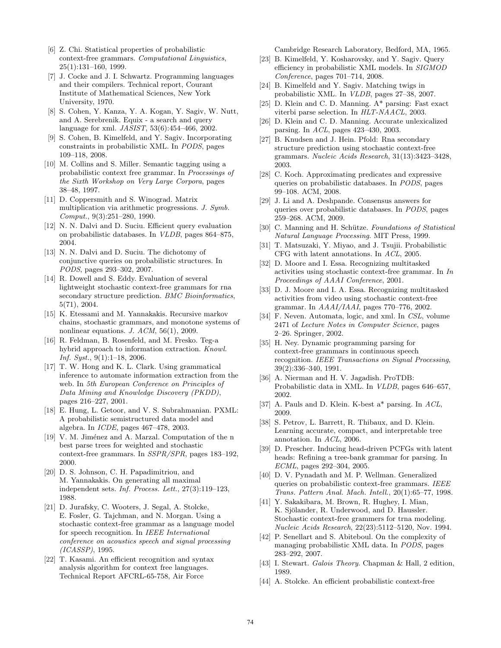- [6] Z. Chi. Statistical properties of probabilistic context-free grammars. Computational Linguistics, 25(1):131–160, 1999.
- [7] J. Cocke and J. I. Schwartz. Programming languages and their compilers. Technical report, Courant Institute of Mathematical Sciences, New York University, 1970.
- [8] S. Cohen, Y. Kanza, Y. A. Kogan, Y. Sagiv, W. Nutt, and A. Serebrenik. Equix - a search and query language for xml. JASIST, 53(6):454–466, 2002.
- [9] S. Cohen, B. Kimelfeld, and Y. Sagiv. Incorporating constraints in probabilistic XML. In PODS, pages 109–118, 2008.
- [10] M. Collins and S. Miller. Semantic tagging using a probabilistic context free grammar. In Processings of the Sixth Workshop on Very Large Corpora, pages 38–48, 1997.
- [11] D. Coppersmith and S. Winograd. Matrix multiplication via arithmetic progressions. J. Symb. Comput., 9(3):251–280, 1990.
- [12] N. N. Dalvi and D. Suciu. Efficient query evaluation on probabilistic databases. In VLDB, pages 864–875, 2004.
- [13] N. N. Dalvi and D. Suciu. The dichotomy of conjunctive queries on probabilistic structures. In PODS, pages 293–302, 2007.
- [14] R. Dowell and S. Eddy. Evaluation of several lightweight stochastic context-free grammars for rna secondary structure prediction. BMC Bioinformatics, 5(71), 2004.
- [15] K. Etessami and M. Yannakakis. Recursive markov chains, stochastic grammars, and monotone systems of nonlinear equations. J. ACM, 56(1), 2009.
- [16] R. Feldman, B. Rosenfeld, and M. Fresko. Teg-a hybrid approach to information extraction. Knowl. Inf. Syst., 9(1):1–18, 2006.
- [17] T. W. Hong and K. L. Clark. Using grammatical inference to automate information extraction from the web. In 5th European Conference on Principles of Data Mining and Knowledge Discovery (PKDD), pages 216–227, 2001.
- [18] E. Hung, L. Getoor, and V. S. Subrahmanian. PXML: A probabilistic semistructured data model and algebra. In ICDE, pages 467–478, 2003.
- [19] V. M. Jiménez and A. Marzal. Computation of the n best parse trees for weighted and stochastic context-free grammars. In SSPR/SPR, pages 183–192, 2000.
- [20] D. S. Johnson, C. H. Papadimitriou, and M. Yannakakis. On generating all maximal independent sets. Inf. Process. Lett., 27(3):119–123, 1988.
- [21] D. Jurafsky, C. Wooters, J. Segal, A. Stolcke, E. Fosler, G. Tajchman, and N. Morgan. Using a stochastic context-free grammar as a language model for speech recognition. In IEEE International conference on acoustics speech and signal processing (ICASSP), 1995.
- [22] T. Kasami. An efficient recognition and syntax analysis algorithm for context free languages. Technical Report AFCRL-65-758, Air Force

Cambridge Research Laboratory, Bedford, MA, 1965.

- [23] B. Kimelfeld, Y. Kosharovsky, and Y. Sagiv. Query efficiency in probabilistic XML models. In SIGMOD Conference, pages 701–714, 2008.
- [24] B. Kimelfeld and Y. Sagiv. Matching twigs in probabilistic XML. In VLDB, pages 27–38, 2007.
- [25] D. Klein and C. D. Manning. A\* parsing: Fast exact viterbi parse selection. In HLT-NAACL, 2003.
- [26] D. Klein and C. D. Manning. Accurate unlexicalized parsing. In ACL, pages 423–430, 2003.
- [27] B. Knudsen and J. Hein. Pfold: Rna secondary structure prediction using stochastic context-free grammars. Nucleic Acids Research, 31(13):3423–3428, 2003.
- [28] C. Koch. Approximating predicates and expressive queries on probabilistic databases. In PODS, pages 99–108. ACM, 2008.
- [29] J. Li and A. Deshpande. Consensus answers for queries over probabilistic databases. In PODS, pages 259–268. ACM, 2009.
- [30] C. Manning and H. Schütze. Foundations of Statistical Natural Language Processing. MIT Press, 1999.
- [31] T. Matsuzaki, Y. Miyao, and J. Tsujii. Probabilistic CFG with latent annotations. In ACL, 2005.
- [32] D. Moore and I. Essa. Recognizing multitasked activities using stochastic context-free grammar. In In Proceedings of AAAI Conference, 2001.
- [33] D. J. Moore and I. A. Essa. Recognizing multitasked activities from video using stochastic context-free grammar. In AAAI/IAAI, pages 770–776, 2002.
- [34] F. Neven. Automata, logic, and xml. In CSL, volume 2471 of Lecture Notes in Computer Science, pages 2–26. Springer, 2002.
- [35] H. Ney. Dynamic programming parsing for context-free grammars in continuous speech recognition. IEEE Transactions on Signal Processing, 39(2):336–340, 1991.
- [36] A. Nierman and H. V. Jagadish. ProTDB: Probabilistic data in XML. In VLDB, pages 646–657, 2002.
- [37] A. Pauls and D. Klein. K-best a\* parsing. In ACL, 2009.
- [38] S. Petrov, L. Barrett, R. Thibaux, and D. Klein. Learning accurate, compact, and interpretable tree annotation. In ACL, 2006.
- [39] D. Prescher. Inducing head-driven PCFGs with latent heads: Refining a tree-bank grammar for parsing. In ECML, pages 292–304, 2005.
- [40] D. V. Pynadath and M. P. Wellman. Generalized queries on probabilistic context-free grammars. IEEE Trans. Pattern Anal. Mach. Intell., 20(1):65–77, 1998.
- [41] Y. Sakakibara, M. Brown, R. Hughey, I. Mian, K. Sjölander, R. Underwood, and D. Haussler. Stochastic context-free grammers for trna modeling. Nucleic Acids Research, 22(23):5112–5120, Nov. 1994.
- [42] P. Senellart and S. Abiteboul. On the complexity of managing probabilistic XML data. In PODS, pages 283–292, 2007.
- [43] I. Stewart. Galois Theory. Chapman & Hall, 2 edition, 1989.
- [44] A. Stolcke. An efficient probabilistic context-free